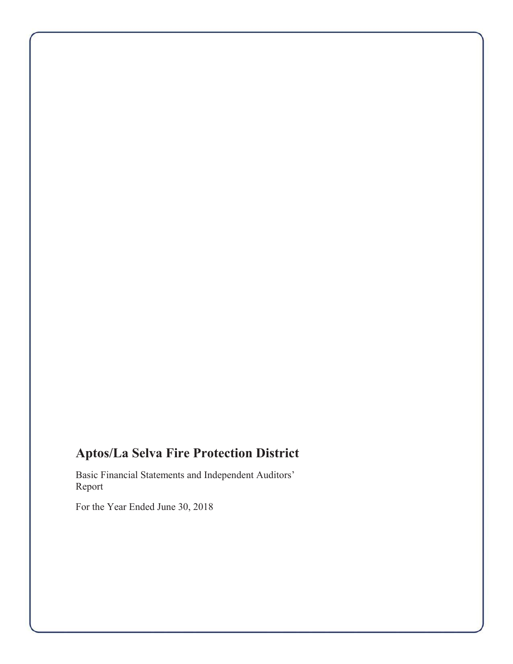# **Aptos/La Selva Fire Protection District**

Basic Financial Statements and Independent Auditors' Report

For the Year Ended June 30, 2018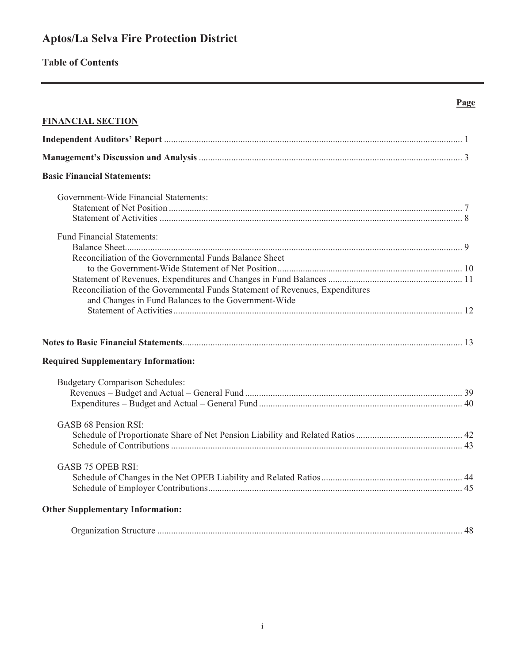# Aptos/La Selva Fire Protection District

# **Table of Contents**

# Page

| <b>FINANCIAL SECTION</b>                                                                                                                                                                      |  |
|-----------------------------------------------------------------------------------------------------------------------------------------------------------------------------------------------|--|
|                                                                                                                                                                                               |  |
|                                                                                                                                                                                               |  |
| <b>Basic Financial Statements:</b>                                                                                                                                                            |  |
| Government-Wide Financial Statements:                                                                                                                                                         |  |
| <b>Fund Financial Statements:</b>                                                                                                                                                             |  |
| Reconciliation of the Governmental Funds Balance Sheet<br>Reconciliation of the Governmental Funds Statement of Revenues, Expenditures<br>and Changes in Fund Balances to the Government-Wide |  |
|                                                                                                                                                                                               |  |
| <b>Required Supplementary Information:</b>                                                                                                                                                    |  |
| <b>Budgetary Comparison Schedules:</b>                                                                                                                                                        |  |
| GASB 68 Pension RSI:                                                                                                                                                                          |  |
| <b>GASB 75 OPEB RSI:</b>                                                                                                                                                                      |  |
| <b>Other Supplementary Information:</b>                                                                                                                                                       |  |
|                                                                                                                                                                                               |  |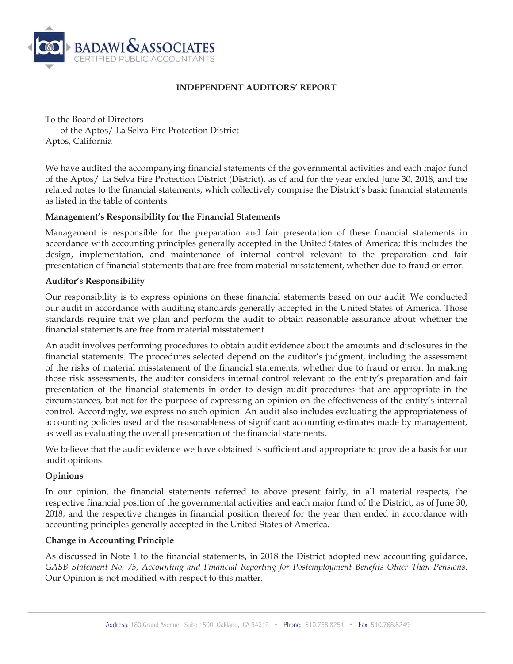

#### **INDEPENDENT AUDITORS' REPORT**

To the Board of Directors of the Aptos/ La Selva Fire Protection District Aptos, California

We have audited the accompanying financial statements of the governmental activities and each major fund of the Aptos/ La Selva Fire Protection District (District), as of and for the year ended June 30, 2018, and the related notes to the financial statements, which collectively comprise the District's basic financial statements as listed in the table of contents.

#### **Management's Responsibility for the Financial Statements**

Management is responsible for the preparation and fair presentation of these financial statements in accordance with accounting principles generally accepted in the United States of America; this includes the design, implementation, and maintenance of internal control relevant to the preparation and fair presentation of financial statements that are free from material misstatement, whether due to fraud or error.

#### **Auditor's Responsibility**

Our responsibility is to express opinions on these financial statements based on our audit. We conducted our audit in accordance with auditing standards generally accepted in the United States of America. Those standards require that we plan and perform the audit to obtain reasonable assurance about whether the financial statements are free from material misstatement.

An audit involves performing procedures to obtain audit evidence about the amounts and disclosures in the financial statements. The procedures selected depend on the auditor's judgment, including the assessment of the risks of material misstatement of the financial statements, whether due to fraud or error. In making those risk assessments, the auditor considers internal control relevant to the entity's preparation and fair presentation of the financial statements in order to design audit procedures that are appropriate in the circumstances, but not for the purpose of expressing an opinion on the effectiveness of the entity's internal control. Accordingly, we express no such opinion. An audit also includes evaluating the appropriateness of accounting policies used and the reasonableness of significant accounting estimates made by management, as well as evaluating the overall presentation of the financial statements.

We believe that the audit evidence we have obtained is sufficient and appropriate to provide a basis for our audit opinions.

#### **Opinions**

In our opinion, the financial statements referred to above present fairly, in all material respects, the respective financial position of the governmental activities and each major fund of the District, as of June 30, 2018, and the respective changes in financial position thereof for the year then ended in accordance with accounting principles generally accepted in the United States of America.

#### **Change in Accounting Principle**

As discussed in Note 1 to the financial statements, in 2018 the District adopted new accounting guidance, *GASB Statement No. 75, Accounting and Financial Reporting for Postemployment Benefits Other Than Pensions*. Our Opinion is not modified with respect to this matter.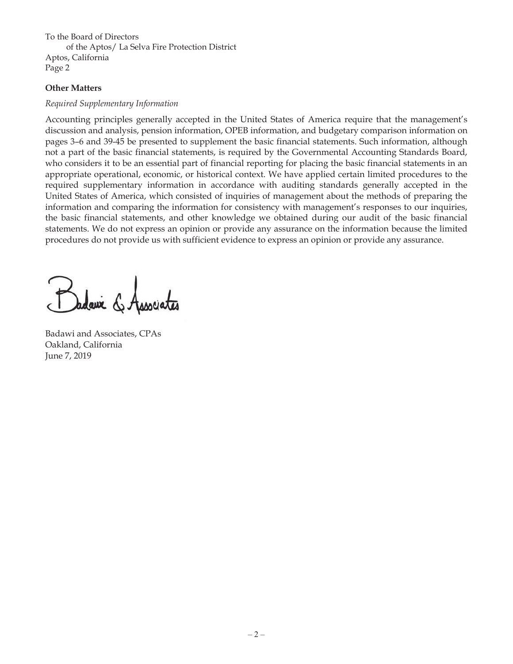To the Board of Directors of the Aptos/ La Selva Fire Protection District Aptos, California Page 2

#### **Other Matters**

#### *Required Supplementary Information*

Accounting principles generally accepted in the United States of America require that the management's discussion and analysis, pension information, OPEB information, and budgetary comparison information on pages 3–6 and 39-45 be presented to supplement the basic financial statements. Such information, although not a part of the basic financial statements, is required by the Governmental Accounting Standards Board, who considers it to be an essential part of financial reporting for placing the basic financial statements in an appropriate operational, economic, or historical context. We have applied certain limited procedures to the required supplementary information in accordance with auditing standards generally accepted in the United States of America, which consisted of inquiries of management about the methods of preparing the information and comparing the information for consistency with management's responses to our inquiries, the basic financial statements, and other knowledge we obtained during our audit of the basic financial statements. We do not express an opinion or provide any assurance on the information because the limited procedures do not provide us with sufficient evidence to express an opinion or provide any assurance.

Badawi and Associates, CPAs Oakland, California June 7, 2019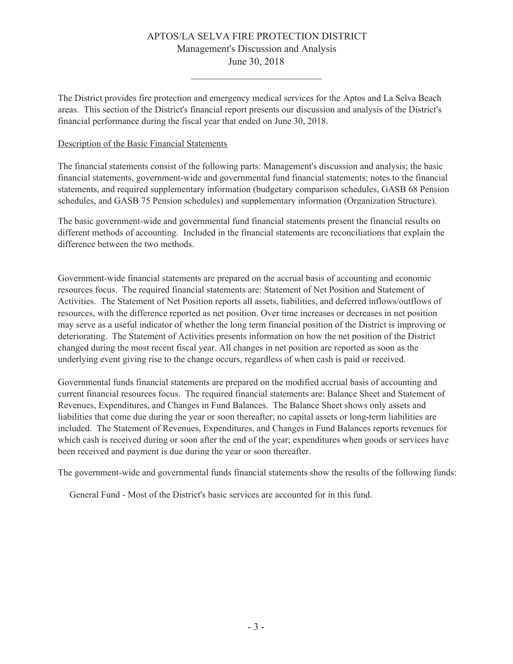#### APTOS/LA SELVA FIRE PROTECTION DISTRICT Management's Discussion and Analysis June 30, 2018

The District provides fire protection and emergency medical services for the Aptos and La Selva Beach areas. This section of the District's financial report presents our discussion and analysis of the District's financial performance during the fiscal year that ended on June 30, 2018.

#### Description of the Basic Financial Statements

The financial statements consist of the following parts: Management's discussion and analysis; the basic financial statements, government-wide and governmental fund financial statements; notes to the financial statements, and required supplementary information (budgetary comparison schedules, GASB 68 Pension schedules, and GASB 75 Pension schedules) and supplementary information (Organization Structure).

The basic government-wide and governmental fund financial statements present the financial results on different methods of accounting. Included in the financial statements are reconciliations that explain the difference between the two methods.

Government-wide financial statements are prepared on the accrual basis of accounting and economic resources focus. The required financial statements are: Statement of Net Position and Statement of Activities. The Statement of Net Position reports all assets, liabilities, and deferred inflows/outflows of resources, with the difference reported as net position. Over time increases or decreases in net position may serve as a useful indicator of whether the long term financial position of the District is improving or deteriorating. The Statement of Activities presents information on how the net position of the District changed during the most recent fiscal year. All changes in net position are reported as soon as the underlying event giving rise to the change occurs, regardless of when cash is paid or received.

Governmental funds financial statements are prepared on the modified accrual basis of accounting and current financial resources focus. The required financial statements are: Balance Sheet and Statement of Revenues, Expenditures, and Changes in Fund Balances. The Balance Sheet shows only assets and liabilities that come due during the year or soon thereafter; no capital assets or long-term liabilities are included. The Statement of Revenues, Expenditures, and Changes in Fund Balances reports revenues for which cash is received during or soon after the end of the year; expenditures when goods or services have been received and payment is due during the year or soon thereafter.

The government-wide and governmental funds financial statements show the results of the following funds:

General Fund - Most of the District's basic services are accounted for in this fund.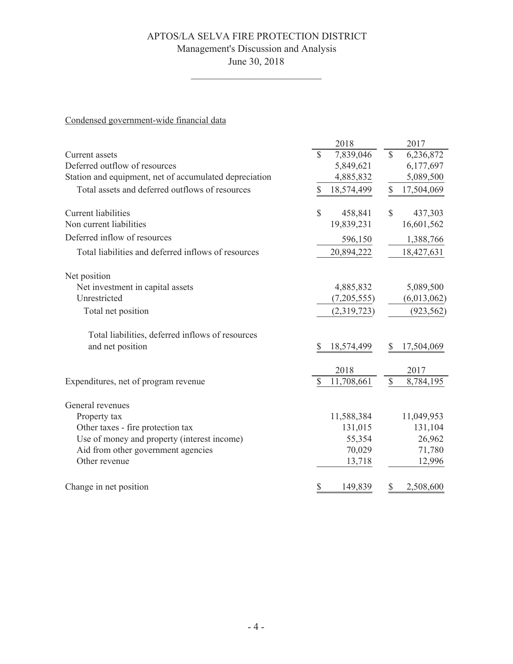# APTOS/LA SELVA FIRE PROTECTION DISTRICT Management's Discussion and Analysis

June 30, 2018

 $\overline{\phantom{0}}$ 

Condensed government-wide financial data

|                                                        | 2018                       | 2017                       |
|--------------------------------------------------------|----------------------------|----------------------------|
| Current assets                                         | $\mathcal{S}$<br>7,839,046 | $\mathcal{S}$<br>6,236,872 |
| Deferred outflow of resources                          | 5,849,621                  | 6,177,697                  |
| Station and equipment, net of accumulated depreciation | 4,885,832                  | 5,089,500                  |
| Total assets and deferred outflows of resources        | \$<br>18,574,499           | \$<br>17,504,069           |
| <b>Current</b> liabilities                             | $\mathcal{S}$<br>458,841   | $\mathbb{S}$<br>437,303    |
| Non current liabilities                                | 19,839,231                 | 16,601,562                 |
| Deferred inflow of resources                           | 596,150                    | 1,388,766                  |
| Total liabilities and deferred inflows of resources    | 20,894,222                 | 18,427,631                 |
| Net position                                           |                            |                            |
| Net investment in capital assets                       | 4,885,832                  | 5,089,500                  |
| Unrestricted                                           | (7,205,555)                | (6,013,062)                |
| Total net position                                     | (2,319,723)                | (923, 562)                 |
| Total liabilities, deferred inflows of resources       |                            |                            |
| and net position                                       | S<br>18,574,499            | 17,504,069                 |
|                                                        | 2018                       | 2017                       |
| Expenditures, net of program revenue                   | \$<br>11,708,661           | \$<br>8,784,195            |
| General revenues                                       |                            |                            |
| Property tax                                           | 11,588,384                 | 11,049,953                 |
| Other taxes - fire protection tax                      | 131,015                    | 131,104                    |
| Use of money and property (interest income)            | 55,354                     | 26,962                     |
| Aid from other government agencies                     | 70,029                     | 71,780                     |
| Other revenue                                          | 13,718                     | 12,996                     |
| Change in net position                                 | \$<br>149,839              | 2,508,600<br>\$            |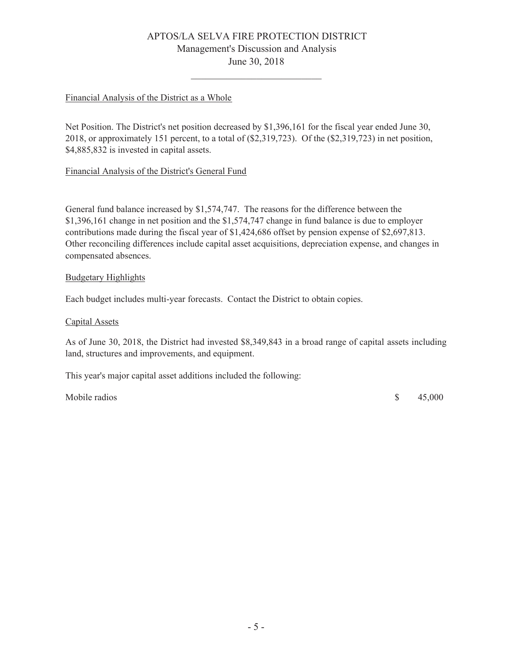# APTOS/LA SELVA FIRE PROTECTION DISTRICT Management's Discussion and Analysis June 30, 2018

#### Financial Analysis of the District as a Whole

Net Position. The District's net position decreased by \$1,396,161 for the fiscal year ended June 30, 2018, or approximately 151 percent, to a total of (\$2,319,723). Of the (\$2,319,723) in net position, \$4,885,832 is invested in capital assets.

#### Financial Analysis of the District's General Fund

General fund balance increased by \$1,574,747. The reasons for the difference between the \$1,396,161 change in net position and the \$1,574,747 change in fund balance is due to employer contributions made during the fiscal year of \$1,424,686 offset by pension expense of \$2,697,813. Other reconciling differences include capital asset acquisitions, depreciation expense, and changes in compensated absences.

#### **Budgetary Highlights**

Each budget includes multi-year forecasts. Contact the District to obtain copies.

#### Capital Assets

As of June 30, 2018, the District had invested \$8,349,843 in a broad range of capital assets including land, structures and improvements, and equipment.

This year's major capital asset additions included the following:

Mobile radios

 $\mathcal{S}$ 45,000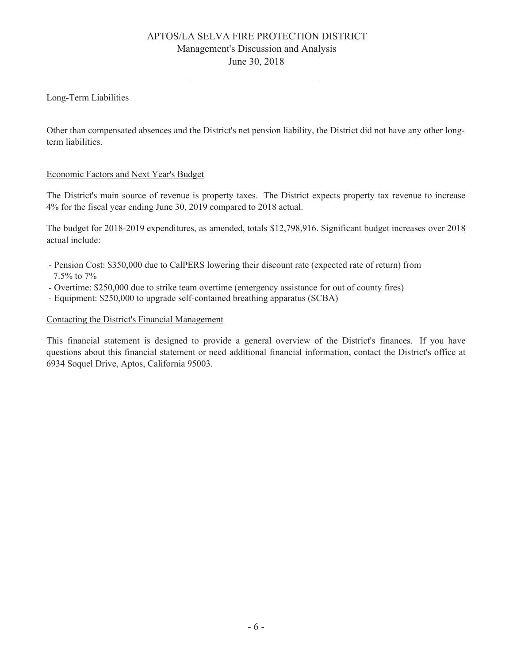# APTOS/LA SELVA FIRE PROTECTION DISTRICT Management's Discussion and Analysis June 30, 2018

#### Long-Term Liabilities

Other than compensated absences and the District's net pension liability, the District did not have any other longterm liabilities.

#### Economic Factors and Next Year's Budget

The District's main source of revenue is property taxes. The District expects property tax revenue to increase 4% for the fiscal year ending June 30, 2019 compared to 2018 actual.

The budget for 2018-2019 expenditures, as amended, totals \$12,798,916. Significant budget increases over 2018 actual include:

- Pension Cost: \$350,000 due to CalPERS lowering their discount rate (expected rate of return) from 7.5% to 7%
- Overtime: \$250,000 due to strike team overtime (emergency assistance for out of county fires)
- Equipment: \$250,000 to upgrade self-contained breathing apparatus (SCBA)

#### Contacting the District's Financial Management

This financial statement is designed to provide a general overview of the District's finances. If you have questions about this financial statement or need additional financial information, contact the District's office at 6934 Soquel Drive, Aptos, California 95003.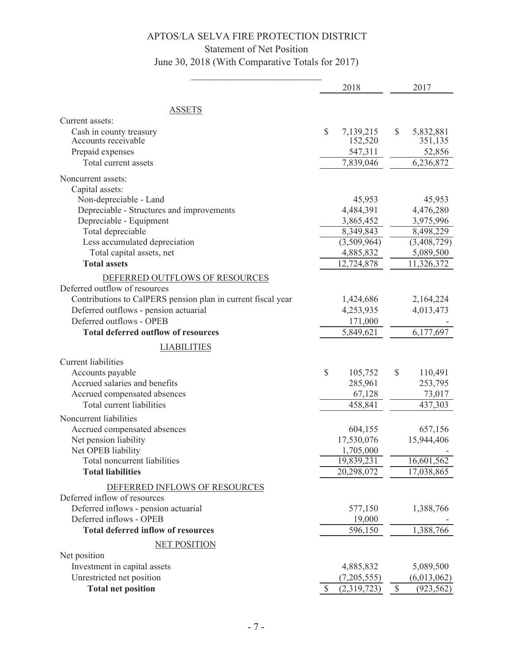# Statement of Net Position

June 30, 2018 (With Comparative Totals for 2017)

|                                                              | 2018              | 2017                       |
|--------------------------------------------------------------|-------------------|----------------------------|
| <b>ASSETS</b>                                                |                   |                            |
| Current assets:                                              |                   |                            |
| Cash in county treasury                                      | \$<br>7,139,215   | \$<br>5,832,881            |
| Accounts receivable                                          | 152,520           | 351,135                    |
| Prepaid expenses                                             | 547,311           | 52,856                     |
| Total current assets                                         | 7,839,046         | 6,236,872                  |
| Noncurrent assets:                                           |                   |                            |
| Capital assets:                                              |                   |                            |
| Non-depreciable - Land                                       | 45,953            | 45,953                     |
| Depreciable - Structures and improvements                    | 4,484,391         | 4,476,280                  |
| Depreciable - Equipment                                      | 3,865,452         | 3,975,996                  |
| Total depreciable                                            | 8,349,843         | 8,498,229                  |
| Less accumulated depreciation                                | (3,509,964)       | (3,408,729)                |
| Total capital assets, net                                    | 4,885,832         | 5,089,500                  |
| <b>Total assets</b>                                          | 12,724,878        | 11,326,372                 |
| DEFERRED OUTFLOWS OF RESOURCES                               |                   |                            |
| Deferred outflow of resources                                |                   |                            |
| Contributions to CalPERS pension plan in current fiscal year | 1,424,686         | 2,164,224                  |
| Deferred outflows - pension actuarial                        | 4,253,935         | 4,013,473                  |
| Deferred outflows - OPEB                                     | 171,000           |                            |
| <b>Total deferred outflow of resources</b>                   | 5,849,621         | 6,177,697                  |
| <b>LIABILITIES</b>                                           |                   |                            |
| <b>Current liabilities</b>                                   |                   |                            |
| Accounts payable                                             | \$<br>105,752     | \$<br>110,491              |
| Accrued salaries and benefits                                | 285,961           | 253,795                    |
| Accrued compensated absences                                 | 67,128            | 73,017                     |
| Total current liabilities                                    | 458,841           | 437,303                    |
| Noncurrent liabilities                                       |                   |                            |
| Accrued compensated absences                                 | 604,155           | 657,156                    |
| Net pension liability                                        | 17,530,076        | 15,944,406                 |
| Net OPEB liability                                           | 1,705,000         |                            |
| Total noncurrent liabilities                                 | 19,839,231        | 16,601,562                 |
| <b>Total liabilities</b>                                     | 20,298,072        | 17,038,865                 |
| DEFERRED INFLOWS OF RESOURCES                                |                   |                            |
| Deferred inflow of resources                                 |                   |                            |
| Deferred inflows - pension actuarial                         | 577,150           | 1,388,766                  |
| Deferred inflows - OPEB                                      | 19,000            |                            |
| <b>Total deferred inflow of resources</b>                    | 596,150           | 1,388,766                  |
| <b>NET POSITION</b>                                          |                   |                            |
| Net position                                                 |                   |                            |
| Investment in capital assets                                 | 4,885,832         | 5,089,500                  |
| Unrestricted net position                                    | (7,205,555)       | (6,013,062)                |
| <b>Total net position</b>                                    | \$<br>(2,319,723) | $\mathbb{S}$<br>(923, 562) |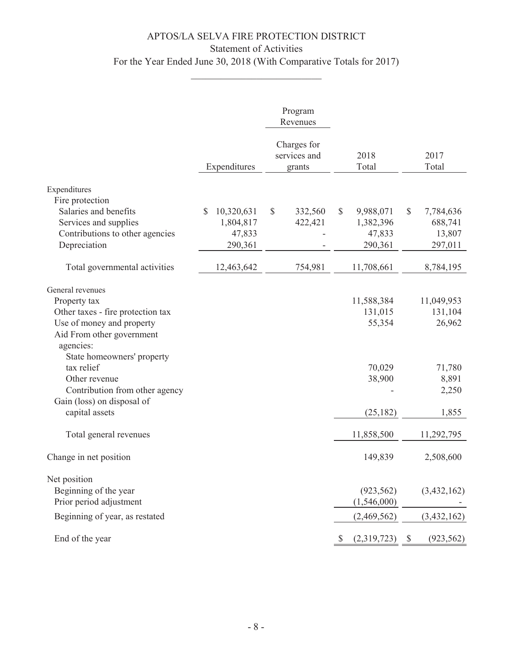# APTOS/LA SELVA FIRE PROTECTION DISTRICT Statement of Activities For the Year Ended June 30, 2018 (With Comparative Totals for 2017)

|                                                                                                   |                  | Program<br>Revenues                   |                           |                             |
|---------------------------------------------------------------------------------------------------|------------------|---------------------------------------|---------------------------|-----------------------------|
|                                                                                                   | Expenditures     | Charges for<br>services and<br>grants | 2018<br>Total             | 2017<br>Total               |
| Expenditures                                                                                      |                  |                                       |                           |                             |
| Fire protection                                                                                   |                  |                                       |                           |                             |
| Salaries and benefits                                                                             | \$<br>10,320,631 | \$<br>332,560                         | $\mathbb{S}$<br>9,988,071 | $\mathcal{S}$<br>7,784,636  |
| Services and supplies                                                                             | 1,804,817        | 422,421                               | 1,382,396                 | 688,741                     |
| Contributions to other agencies                                                                   | 47,833           |                                       | 47,833                    | 13,807                      |
| Depreciation                                                                                      | 290,361          |                                       | 290,361                   | 297,011                     |
| Total governmental activities                                                                     | 12,463,642       | 754,981                               | 11,708,661                | 8,784,195                   |
|                                                                                                   |                  |                                       |                           |                             |
| General revenues                                                                                  |                  |                                       |                           |                             |
| Property tax                                                                                      |                  |                                       | 11,588,384                | 11,049,953                  |
| Other taxes - fire protection tax                                                                 |                  |                                       | 131,015                   | 131,104                     |
| Use of money and property<br>Aid From other government<br>agencies:<br>State homeowners' property |                  |                                       | 55,354                    | 26,962                      |
| tax relief                                                                                        |                  |                                       | 70,029                    | 71,780                      |
| Other revenue                                                                                     |                  |                                       | 38,900                    | 8,891                       |
| Contribution from other agency                                                                    |                  |                                       |                           | 2,250                       |
| Gain (loss) on disposal of                                                                        |                  |                                       |                           |                             |
| capital assets                                                                                    |                  |                                       | (25, 182)                 | 1,855                       |
| Total general revenues                                                                            |                  |                                       | 11,858,500                | 11,292,795                  |
| Change in net position                                                                            |                  |                                       | 149,839                   | 2,508,600                   |
| Net position                                                                                      |                  |                                       |                           |                             |
| Beginning of the year                                                                             |                  |                                       | (923, 562)                | (3,432,162)                 |
| Prior period adjustment                                                                           |                  |                                       | (1,546,000)               |                             |
| Beginning of year, as restated                                                                    |                  |                                       | (2,469,562)               | (3,432,162)                 |
| End of the year                                                                                   |                  |                                       | (2,319,723)               | (923, 562)<br>$\mathcal{S}$ |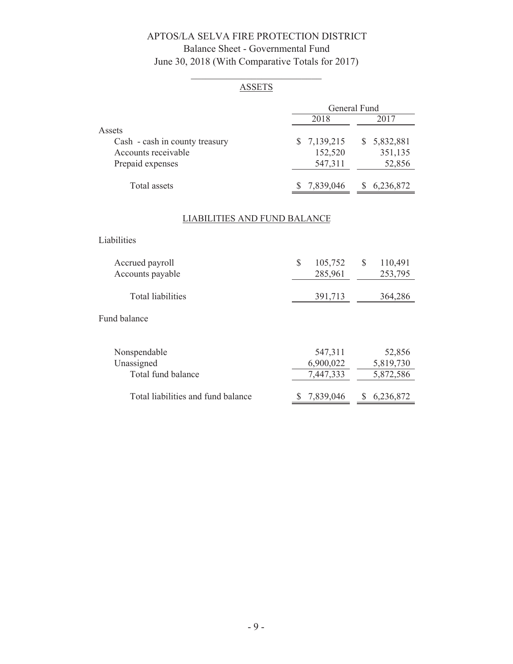# APTOS/LA SELVA FIRE PROTECTION DISTRICT Balance Sheet - Governmental Fund June 30, 2018 (With Comparative Totals for 2017)

# **ASSETS**

|             | General Fund    |  |  |  |
|-------------|-----------------|--|--|--|
| 2018        | 2017            |  |  |  |
|             |                 |  |  |  |
| \$7,139,215 | 5,832,881<br>S. |  |  |  |
| 152,520     | 351,135         |  |  |  |
| 547,311     | 52,856          |  |  |  |
|             |                 |  |  |  |
| \$7,839,046 | 6,236,872       |  |  |  |
|             |                 |  |  |  |

# **LIABILITIES AND FUND BALANCE**

Liabilities

| Accrued payroll<br>Accounts payable | 105,752<br>285,961 | 110,491<br>253,795 |
|-------------------------------------|--------------------|--------------------|
| Total liabilities                   | 391,713            | 364,286            |

#### Fund balance

| Nonspendable                       | 547,311   | 52,856    |
|------------------------------------|-----------|-----------|
| Unassigned                         | 6,900,022 | 5,819,730 |
| Total fund balance                 | 7,447,333 | 5,872,586 |
| Total liabilities and fund balance | 7,839,046 | 6,236,872 |
|                                    |           |           |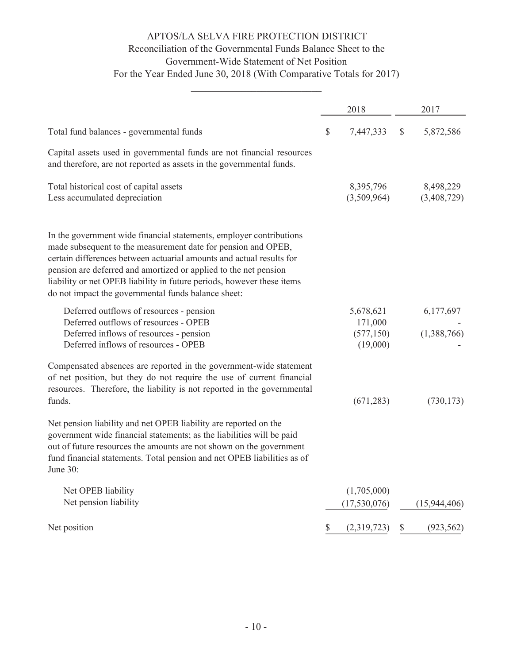# APTOS/LA SELVA FIRE PROTECTION DISTRICT Reconciliation of the Governmental Funds Balance Sheet to the Government-Wide Statement of Net Position For the Year Ended June 30, 2018 (With Comparative Totals for 2017)

|                                                                                                                                                                                                                                                                                                                                                                                                                   | 2018                                           | 2017                     |
|-------------------------------------------------------------------------------------------------------------------------------------------------------------------------------------------------------------------------------------------------------------------------------------------------------------------------------------------------------------------------------------------------------------------|------------------------------------------------|--------------------------|
| Total fund balances - governmental funds                                                                                                                                                                                                                                                                                                                                                                          | \$<br>7,447,333                                | \$<br>5,872,586          |
| Capital assets used in governmental funds are not financial resources<br>and therefore, are not reported as assets in the governmental funds.                                                                                                                                                                                                                                                                     |                                                |                          |
| Total historical cost of capital assets<br>Less accumulated depreciation                                                                                                                                                                                                                                                                                                                                          | 8,395,796<br>(3,509,964)                       | 8,498,229<br>(3,408,729) |
| In the government wide financial statements, employer contributions<br>made subsequent to the measurement date for pension and OPEB,<br>certain differences between actuarial amounts and actual results for<br>pension are deferred and amortized or applied to the net pension<br>liability or net OPEB liability in future periods, however these items<br>do not impact the governmental funds balance sheet: |                                                |                          |
| Deferred outflows of resources - pension<br>Deferred outflows of resources - OPEB<br>Deferred inflows of resources - pension<br>Deferred inflows of resources - OPEB                                                                                                                                                                                                                                              | 5,678,621<br>171,000<br>(577, 150)<br>(19,000) | 6,177,697<br>(1,388,766) |
| Compensated absences are reported in the government-wide statement<br>of net position, but they do not require the use of current financial<br>resources. Therefore, the liability is not reported in the governmental<br>funds.                                                                                                                                                                                  | (671, 283)                                     | (730, 173)               |
| Net pension liability and net OPEB liability are reported on the<br>government wide financial statements; as the liabilities will be paid<br>out of future resources the amounts are not shown on the government<br>fund financial statements. Total pension and net OPEB liabilities as of<br>June 30:                                                                                                           |                                                |                          |
| Net OPEB liability<br>Net pension liability                                                                                                                                                                                                                                                                                                                                                                       | (1,705,000)<br>(17,530,076)                    | (15, 944, 406)           |
| Net position                                                                                                                                                                                                                                                                                                                                                                                                      | \$<br>(2,319,723)                              | \$<br>(923, 562)         |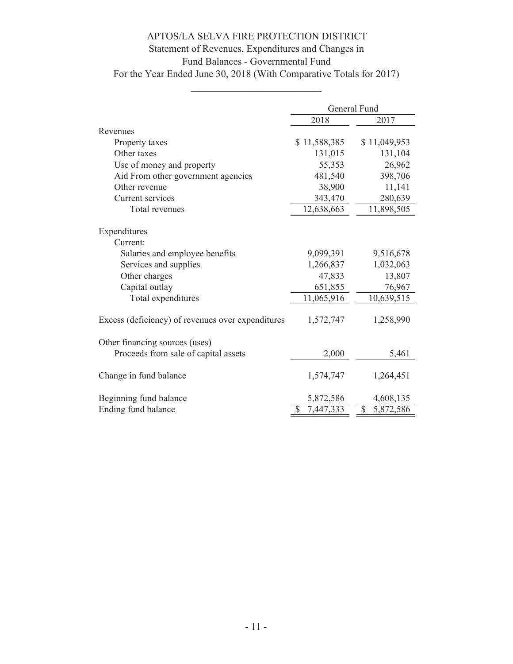# Statement of Revenues, Expenditures and Changes in

# Fund Balances - Governmental Fund

For the Year Ended June 30, 2018 (With Comparative Totals for 2017)

|                                                   | General Fund |              |  |  |
|---------------------------------------------------|--------------|--------------|--|--|
|                                                   | 2018         | 2017         |  |  |
| Revenues                                          |              |              |  |  |
| Property taxes                                    | \$11,588,385 | \$11,049,953 |  |  |
| Other taxes                                       | 131,015      | 131,104      |  |  |
| Use of money and property                         | 55,353       | 26,962       |  |  |
| Aid From other government agencies                | 481,540      | 398,706      |  |  |
| Other revenue                                     | 38,900       | 11,141       |  |  |
| Current services                                  | 343,470      | 280,639      |  |  |
| Total revenues                                    | 12,638,663   | 11,898,505   |  |  |
|                                                   |              |              |  |  |
| Expenditures                                      |              |              |  |  |
| Current:                                          |              |              |  |  |
| Salaries and employee benefits                    | 9,099,391    | 9,516,678    |  |  |
| Services and supplies                             | 1,266,837    | 1,032,063    |  |  |
| Other charges                                     | 47,833       | 13,807       |  |  |
| Capital outlay                                    | 651,855      | 76,967       |  |  |
| Total expenditures                                | 11,065,916   | 10,639,515   |  |  |
| Excess (deficiency) of revenues over expenditures | 1,572,747    | 1,258,990    |  |  |
| Other financing sources (uses)                    |              |              |  |  |
| Proceeds from sale of capital assets              | 2,000        | 5,461        |  |  |
| Change in fund balance                            | 1,574,747    | 1,264,451    |  |  |
| Beginning fund balance                            | 5,872,586    | 4,608,135    |  |  |
| Ending fund balance                               | 7,447,333    | \$ 5,872,586 |  |  |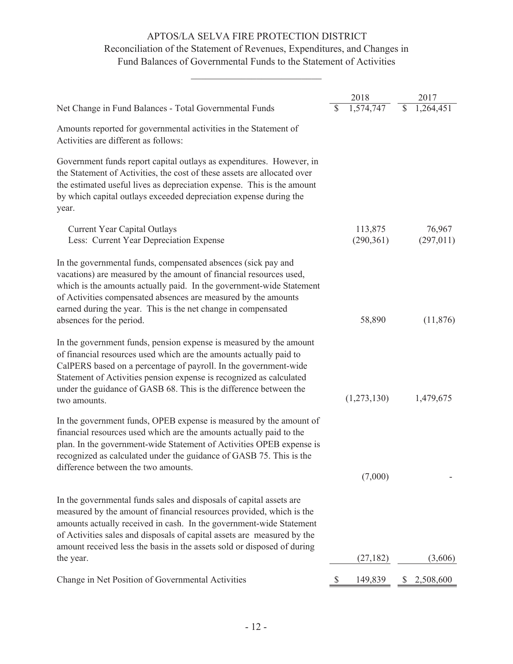# Reconciliation of the Statement of Revenues, Expenditures, and Changes in Fund Balances of Governmental Funds to the Statement of Activities

|                                                                                                                                                                                                                                                                                                                                                                            |   | 2018                 |                          | 2017                 |
|----------------------------------------------------------------------------------------------------------------------------------------------------------------------------------------------------------------------------------------------------------------------------------------------------------------------------------------------------------------------------|---|----------------------|--------------------------|----------------------|
| Net Change in Fund Balances - Total Governmental Funds                                                                                                                                                                                                                                                                                                                     |   | 1,574,747            | $\overline{\mathcal{S}}$ | 1,264,451            |
| Amounts reported for governmental activities in the Statement of<br>Activities are different as follows:                                                                                                                                                                                                                                                                   |   |                      |                          |                      |
| Government funds report capital outlays as expenditures. However, in<br>the Statement of Activities, the cost of these assets are allocated over<br>the estimated useful lives as depreciation expense. This is the amount<br>by which capital outlays exceeded depreciation expense during the<br>year.                                                                   |   |                      |                          |                      |
| <b>Current Year Capital Outlays</b><br>Less: Current Year Depreciation Expense                                                                                                                                                                                                                                                                                             |   | 113,875<br>(290,361) |                          | 76,967<br>(297, 011) |
| In the governmental funds, compensated absences (sick pay and<br>vacations) are measured by the amount of financial resources used,<br>which is the amounts actually paid. In the government-wide Statement<br>of Activities compensated absences are measured by the amounts<br>earned during the year. This is the net change in compensated<br>absences for the period. |   | 58,890               |                          | (11,876)             |
| In the government funds, pension expense is measured by the amount<br>of financial resources used which are the amounts actually paid to<br>CalPERS based on a percentage of payroll. In the government-wide<br>Statement of Activities pension expense is recognized as calculated<br>under the guidance of GASB 68. This is the difference between the<br>two amounts.   |   | (1,273,130)          |                          | 1,479,675            |
| In the government funds, OPEB expense is measured by the amount of<br>financial resources used which are the amounts actually paid to the<br>plan. In the government-wide Statement of Activities OPEB expense is<br>recognized as calculated under the guidance of GASB 75. This is the<br>difference between the two amounts.                                            |   | (7,000)              |                          |                      |
| In the governmental funds sales and disposals of capital assets are<br>measured by the amount of financial resources provided, which is the<br>amounts actually received in cash. In the government-wide Statement<br>of Activities sales and disposals of capital assets are measured by the<br>amount received less the basis in the assets sold or disposed of during   |   |                      |                          |                      |
| the year.                                                                                                                                                                                                                                                                                                                                                                  |   | (27, 182)            |                          | (3,606)              |
| Change in Net Position of Governmental Activities                                                                                                                                                                                                                                                                                                                          | P | 149,839              | \$                       | 2,508,600            |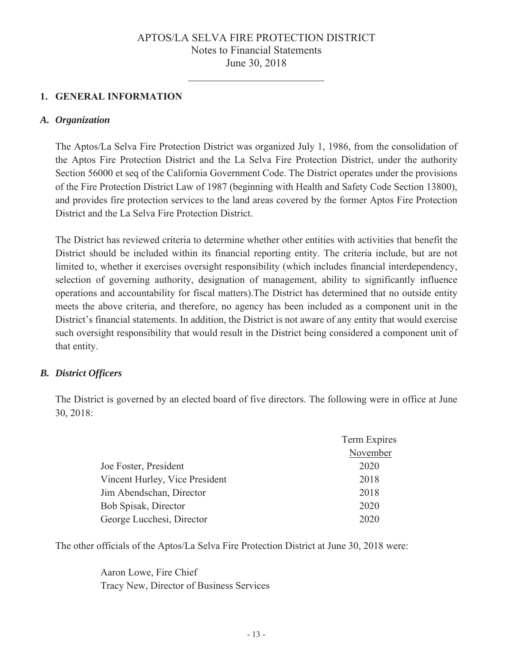# 1. GENERAL INFORMATION

#### A. Organization

The Aptos/La Selva Fire Protection District was organized July 1, 1986, from the consolidation of the Aptos Fire Protection District and the La Selva Fire Protection District, under the authority Section 56000 et seq of the California Government Code. The District operates under the provisions of the Fire Protection District Law of 1987 (beginning with Health and Safety Code Section 13800), and provides fire protection services to the land areas covered by the former Aptos Fire Protection District and the La Selva Fire Protection District.

The District has reviewed criteria to determine whether other entities with activities that benefit the District should be included within its financial reporting entity. The criteria include, but are not limited to, whether it exercises oversight responsibility (which includes financial interdependency, selection of governing authority, designation of management, ability to significantly influence operations and accountability for fiscal matters). The District has determined that no outside entity meets the above criteria, and therefore, no agency has been included as a component unit in the District's financial statements. In addition, the District is not aware of any entity that would exercise such oversight responsibility that would result in the District being considered a component unit of that entity.

#### **B.** District Officers

The District is governed by an elected board of five directors. The following were in office at June 30, 2018:

|                                | Term Expires |
|--------------------------------|--------------|
|                                | November     |
| Joe Foster, President          | 2020         |
| Vincent Hurley, Vice President | 2018         |
| Jim Abendschan, Director       | 2018         |
| Bob Spisak, Director           | 2020         |
| George Lucchesi, Director      | 2020         |

The other officials of the Aptos/La Selva Fire Protection District at June 30, 2018 were:

Aaron Lowe, Fire Chief Tracy New, Director of Business Services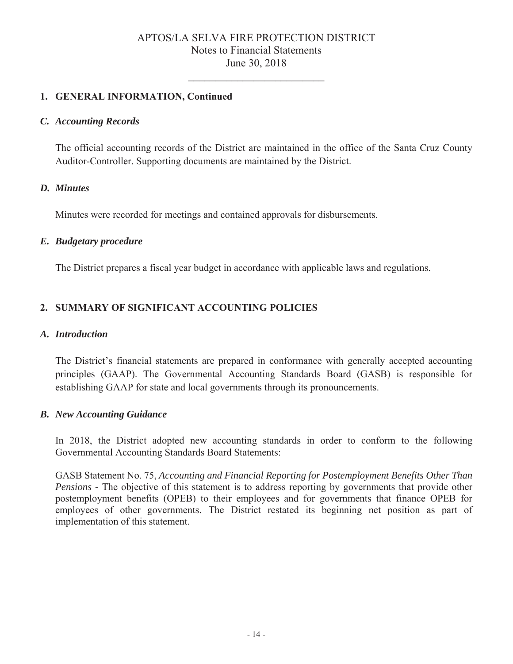# 1. GENERAL INFORMATION, Continued

#### C. Accounting Records

The official accounting records of the District are maintained in the office of the Santa Cruz County Auditor-Controller. Supporting documents are maintained by the District.

#### D. Minutes

Minutes were recorded for meetings and contained approvals for disbursements.

#### E. Budgetary procedure

The District prepares a fiscal year budget in accordance with applicable laws and regulations.

# 2. SUMMARY OF SIGNIFICANT ACCOUNTING POLICIES

#### A. Introduction

The District's financial statements are prepared in conformance with generally accepted accounting principles (GAAP). The Governmental Accounting Standards Board (GASB) is responsible for establishing GAAP for state and local governments through its pronouncements.

#### **B.** New Accounting Guidance

In 2018, the District adopted new accounting standards in order to conform to the following Governmental Accounting Standards Board Statements:

GASB Statement No. 75, Accounting and Financial Reporting for Postemployment Benefits Other Than *Pensions* - The objective of this statement is to address reporting by governments that provide other postemployment benefits (OPEB) to their employees and for governments that finance OPEB for employees of other governments. The District restated its beginning net position as part of implementation of this statement.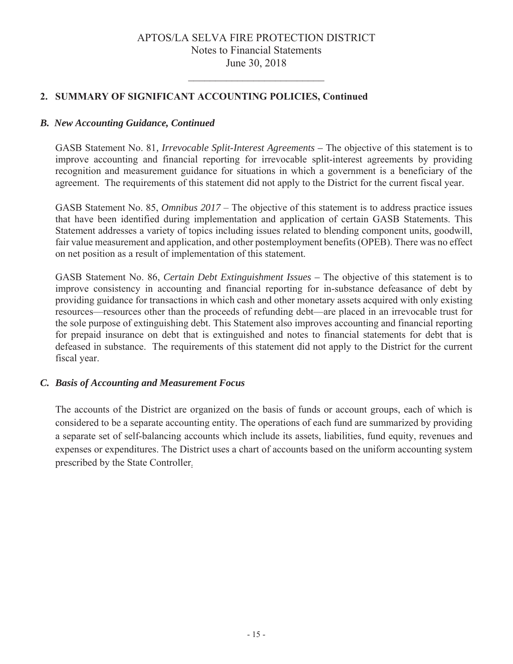# 2. SUMMARY OF SIGNIFICANT ACCOUNTING POLICIES, Continued

#### *B. New Accounting Guidance, Continued*

 $\overline{GASB}$  Statement No. 81, *Irrevocable Split-Interest Agreements –* The objective of this statement is to improve accounting and financial reporting for irrevocable split-interest agreements by providing recognition and measurement guidance for situations in which a government is a beneficiary of the agreement. The requirements of this statement did not apply to the District for the current fiscal year.

GASB Statement No. 85, *Omnibus 2017* – The objective of this statement is to address practice issues that have been identified during implementation and application of certain GASB Statements. This Statement addresses a variety of topics including issues related to blending component units, goodwill, fair value measurement and application, and other postemployment benefits (OPEB). There was no effect on net position as a result of implementation of this statement.

GASB Statement No. 86, Certain Debt Extinguishment Issues – The objective of this statement is to improve consistency in accounting and financial reporting for in-substance defeasance of debt by providing guidance for transactions in which cash and other monetary assets acquired with only existing resources—resources other than the proceeds of refunding debt—are placed in an irrevocable trust for the sole purpose of extinguishing debt. This Statement also improves accounting and financial reporting for prepaid insurance on debt that is extinguished and notes to financial statements for debt that is defeased in substance. The requirements of this statement did not apply to the District for the current fiscal year.

#### *C. Basis of Accounting and Measurement Focus*

The accounts of the District are organized on the basis of funds or account groups, each of which is considered to be a separate accounting entity. The operations of each fund are summarized by providing a separate set of self-balancing accounts which include its assets, liabilities, fund equity, revenues and expenses or expenditures. The District uses a chart of accounts based on the uniform accounting system prescribed by the State Controller.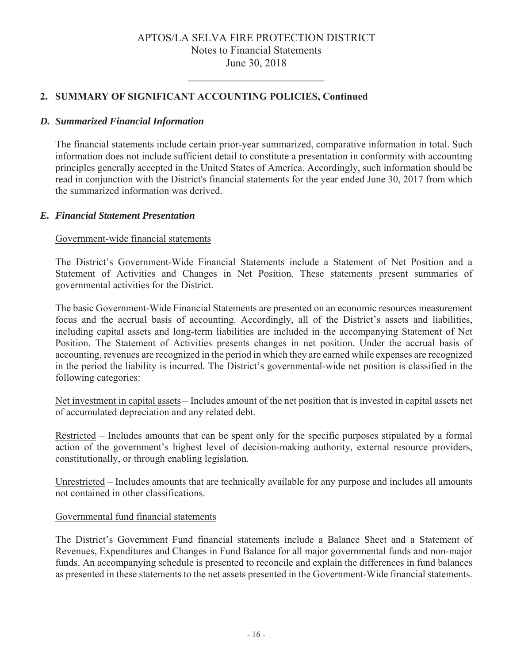# 2. SUMMARY OF SIGNIFICANT ACCOUNTING POLICIES, Continued

#### **D.** Summarized Financial Information

The financial statements include certain prior-year summarized, comparative information in total. Such information does not include sufficient detail to constitute a presentation in conformity with accounting principles generally accepted in the United States of America. Accordingly, such information should be read in conjunction with the District's financial statements for the year ended June 30, 2017 from which the summarized information was derived.

#### **E.** Financial Statement Presentation

#### Government-wide financial statements

The District's Government-Wide Financial Statements include a Statement of Net Position and a Statement of Activities and Changes in Net Position. These statements present summaries of governmental activities for the District.

The basic Government-Wide Financial Statements are presented on an economic resources measurement focus and the accrual basis of accounting. Accordingly, all of the District's assets and liabilities, including capital assets and long-term liabilities are included in the accompanying Statement of Net Position. The Statement of Activities presents changes in net position. Under the accrual basis of accounting, revenues are recognized in the period in which they are earned while expenses are recognized in the period the liability is incurred. The District's governmental-wide net position is classified in the following categories:

Net investment in capital assets – Includes amount of the net position that is invested in capital assets net of accumulated depreciation and any related debt.

Restricted – Includes amounts that can be spent only for the specific purposes stipulated by a formal action of the government's highest level of decision-making authority, external resource providers, constitutionally, or through enabling legislation.

Unrestricted – Includes amounts that are technically available for any purpose and includes all amounts not contained in other classifications.

#### Governmental fund financial statements

The District's Government Fund financial statements include a Balance Sheet and a Statement of Revenues, Expenditures and Changes in Fund Balance for all major governmental funds and non-major funds. An accompanying schedule is presented to reconcile and explain the differences in fund balances as presented in these statements to the net assets presented in the Government-Wide financial statements.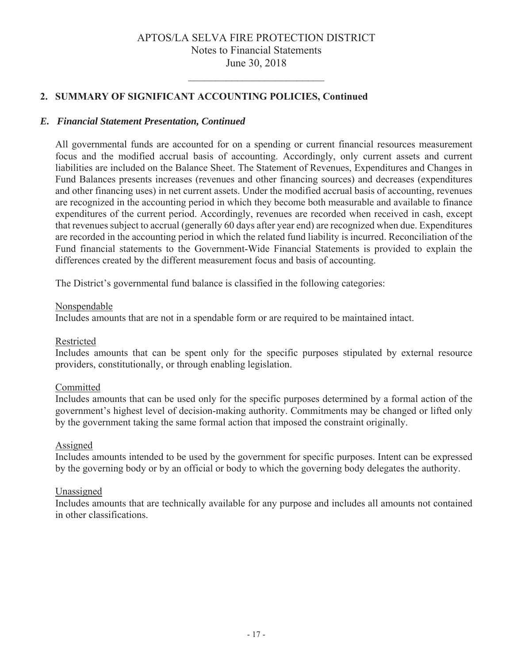# 2. SUMMARY OF SIGNIFICANT ACCOUNTING POLICIES, Continued

#### E. Financial Statement Presentation, Continued

All governmental funds are accounted for on a spending or current financial resources measurement focus and the modified accrual basis of accounting. Accordingly, only current assets and current liabilities are included on the Balance Sheet. The Statement of Revenues, Expenditures and Changes in Fund Balances presents increases (revenues and other financing sources) and decreases (expenditures and other financing uses) in net current assets. Under the modified accrual basis of accounting, revenues are recognized in the accounting period in which they become both measurable and available to finance expenditures of the current period. Accordingly, revenues are recorded when received in cash, except that revenues subject to accrual (generally 60 days after year end) are recognized when due. Expenditures are recorded in the accounting period in which the related fund liability is incurred. Reconciliation of the Fund financial statements to the Government-Wide Financial Statements is provided to explain the differences created by the different measurement focus and basis of accounting.

The District's governmental fund balance is classified in the following categories:

#### Nonspendable

Includes amounts that are not in a spendable form or are required to be maintained intact.

#### Restricted

Includes amounts that can be spent only for the specific purposes stipulated by external resource providers, constitutionally, or through enabling legislation.

#### Committed

Includes amounts that can be used only for the specific purposes determined by a formal action of the government's highest level of decision-making authority. Commitments may be changed or lifted only by the government taking the same formal action that imposed the constraint originally.

#### Assigned

Includes amounts intended to be used by the government for specific purposes. Intent can be expressed by the governing body or by an official or body to which the governing body delegates the authority.

#### Unassigned

Includes amounts that are technically available for any purpose and includes all amounts not contained in other classifications.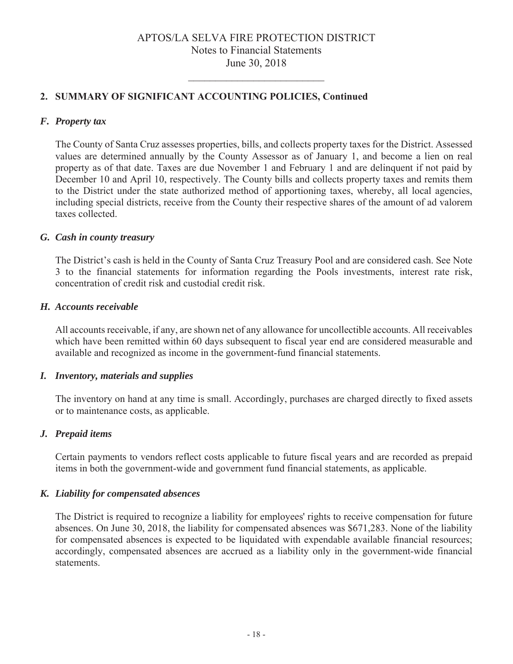# 2. SUMMARY OF SIGNIFICANT ACCOUNTING POLICIES, Continued

#### F. Property tax

The County of Santa Cruz assesses properties, bills, and collects property taxes for the District. Assessed values are determined annually by the County Assessor as of January 1, and become a lien on real property as of that date. Taxes are due November 1 and February 1 and are delinguent if not paid by December 10 and April 10, respectively. The County bills and collects property taxes and remits them to the District under the state authorized method of apportioning taxes, whereby, all local agencies, including special districts, receive from the County their respective shares of the amount of ad valorem taxes collected.

#### G. Cash in county treasury

The District's cash is held in the County of Santa Cruz Treasury Pool and are considered cash. See Note 3 to the financial statements for information regarding the Pools investments, interest rate risk, concentration of credit risk and custodial credit risk.

#### H. Accounts receivable

All accounts receivable, if any, are shown net of any allowance for uncollectible accounts. All receivables which have been remitted within 60 days subsequent to fiscal year end are considered measurable and available and recognized as income in the government-fund financial statements.

#### I. Inventory, materials and supplies

The inventory on hand at any time is small. Accordingly, purchases are charged directly to fixed assets or to maintenance costs, as applicable.

#### J. Prepaid items

Certain payments to vendors reflect costs applicable to future fiscal years and are recorded as prepaid items in both the government-wide and government fund financial statements, as applicable.

#### K. Liability for compensated absences

The District is required to recognize a liability for employees' rights to receive compensation for future absences. On June 30, 2018, the liability for compensated absences was \$671,283. None of the liability for compensated absences is expected to be liquidated with expendable available financial resources; accordingly, compensated absences are accrued as a liability only in the government-wide financial statements.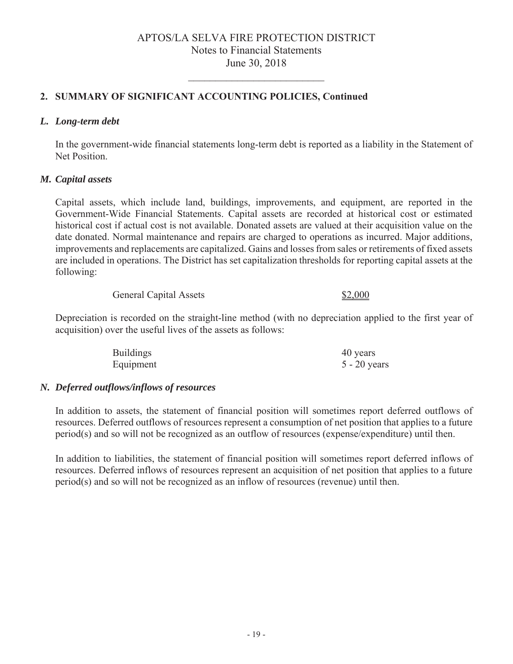# 2. SUMMARY OF SIGNIFICANT ACCOUNTING POLICIES, Continued

#### *L. Long-term debt*

In the government-wide financial statements long-term debt is reported as a liability in the Statement of Net Position.

#### *M. Capital assets*

Capital assets, which include land, buildings, improvements, and equipment, are reported in the Government-Wide Financial Statements. Capital assets are recorded at historical cost or estimated historical cost if actual cost is not available. Donated assets are valued at their acquisition value on the date donated. Normal maintenance and repairs are charged to operations as incurred. Major additions, improvements and replacements are capitalized. Gains and losses from sales or retirements of fixed assets are included in operations. The District has set capitalization thresholds for reporting capital assets at the following:

General Capital Assets \$2,000

Depreciation is recorded on the straight-line method (with no depreciation applied to the first year of acquisition) over the useful lives of the assets as follows:

| <b>Buildings</b> | 40 years       |
|------------------|----------------|
| Equipment        | $5 - 20$ years |

#### *N. Deferred outflows/inflows of resources*

In addition to assets, the statement of financial position will sometimes report deferred outflows of resources. Deferred outflows of resources represent a consumption of net position that applies to a future  $period(s)$  and so will not be recognized as an outflow of resources (expense/expenditure) until then.

In addition to liabilities, the statement of financial position will sometimes report deferred inflows of resources. Deferred inflows of resources represent an acquisition of net position that applies to a future period(s) and so will not be recognized as an inflow of resources (revenue) until then.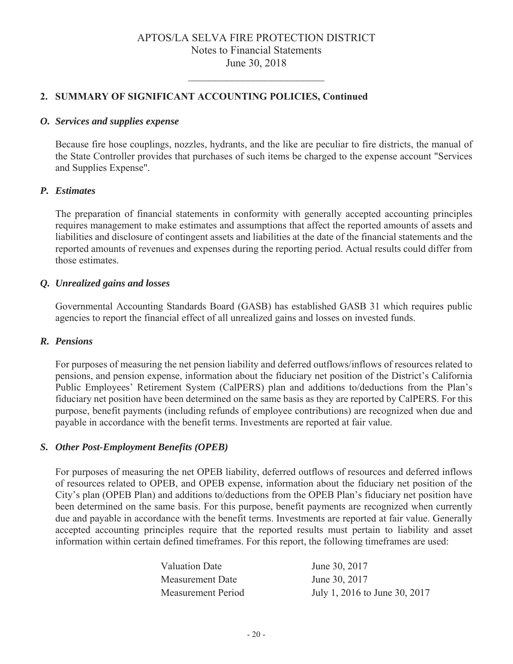#### 2. SUMMARY OF SIGNIFICANT ACCOUNTING POLICIES, Continued

#### *O. Services and supplies expense*

Because fire hose couplings, nozzles, hydrants, and the like are peculiar to fire districts, the manual of the State Controller provides that purchases of such items be charged to the expense account "Services" and Supplies Expense".

#### *P. Estimates*

The preparation of financial statements in conformity with generally accepted accounting principles requires management to make estimates and assumptions that affect the reported amounts of assets and liabilities and disclosure of contingent assets and liabilities at the date of the financial statements and the reported amounts of revenues and expenses during the reporting period. Actual results could differ from those estimates.

#### *Q. Unrealized gains and losses*

Governmental Accounting Standards Board (GASB) has established GASB 31 which requires public agencies to report the financial effect of all unrealized gains and losses on invested funds.

#### *R. Pensions*

For purposes of measuring the net pension liability and deferred outflows/inflows of resources related to pensions, and pension expense, information about the fiduciary net position of the District's California Public Employees' Retirement System (CalPERS) plan and additions to/deductions from the Plan's fiduciary net position have been determined on the same basis as they are reported by CalPERS. For this purpose, benefit payments (including refunds of employee contributions) are recognized when due and payable in accordance with the benefit terms. Investments are reported at fair value.

#### *S. Other Post-Employment Benefits (OPEB)*

For purposes of measuring the net OPEB liability, deferred outflows of resources and deferred inflows of resources related to OPEB, and OPEB expense, information about the fiduciary net position of the City's plan (OPEB Plan) and additions to/deductions from the OPEB Plan's fiduciary net position have been determined on the same basis. For this purpose, benefit payments are recognized when currently due and payable in accordance with the benefit terms. Investments are reported at fair value. Generally accepted accounting principles require that the reported results must pertain to liability and asset information within certain defined timeframes. For this report, the following timeframes are used:

| Valuation Date     | June 30, 2017                 |
|--------------------|-------------------------------|
| Measurement Date   | June 30, 2017                 |
| Measurement Period | July 1, 2016 to June 30, 2017 |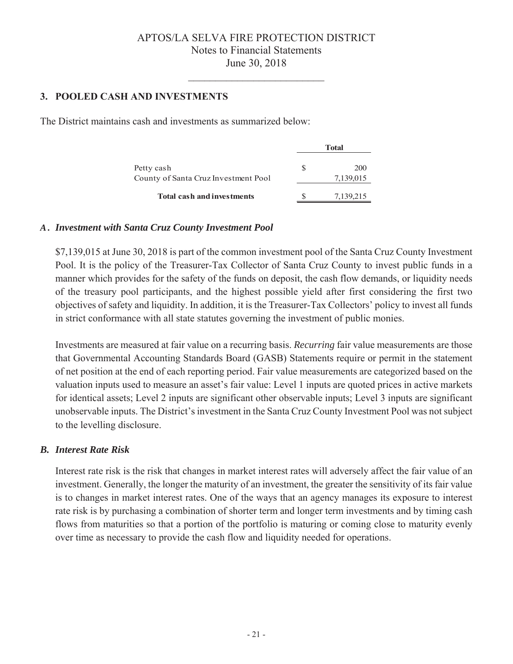# **3. POOLED CASH AND INVESTMENTS**

The District maintains cash and investments as summarized below:

|                                                    | Total |                  |  |
|----------------------------------------------------|-------|------------------|--|
| Petty cash<br>County of Santa Cruz Investment Pool | S     | 200<br>7,139,015 |  |
| <b>Total cash and investments</b>                  |       | 7,139,215        |  |

#### *A . Investment with Santa Cruz County Investment Pool*

 $$7,139,015$  at June 30, 2018 is part of the common investment pool of the Santa Cruz County Investment Pool. It is the policy of the Treasurer-Tax Collector of Santa Cruz County to invest public funds in a manner which provides for the safety of the funds on deposit, the cash flow demands, or liquidity needs of the treasury pool participants, and the highest possible yield after first considering the first two objectives of safety and liquidity. In addition, it is the Treasurer-Tax Collectors' policy to invest all funds in strict conformance with all state statutes governing the investment of public monies.

Investments are measured at fair value on a recurring basis. *Recurring* fair value measurements are those that Governmental Accounting Standards Board (GASB) Statements require or permit in the statement of net position at the end of each reporting period. Fair value measurements are categorized based on the valuation inputs used to measure an asset's fair value: Level 1 inputs are quoted prices in active markets for identical assets; Level 2 inputs are significant other observable inputs; Level 3 inputs are significant unobservable inputs. The District's investment in the Santa Cruz County Investment Pool was not subject to the levelling disclosure.

#### *B. Interest Rate Risk*

Interest rate risk is the risk that changes in market interest rates will adversely affect the fair value of an investment. Generally, the longer the maturity of an investment, the greater the sensitivity of its fair value is to changes in market interest rates. One of the ways that an agency manages its exposure to interest rate risk is by purchasing a combination of shorter term and longer term investments and by timing cash flows from maturities so that a portion of the portfolio is maturing or coming close to maturity evenly over time as necessary to provide the cash flow and liquidity needed for operations.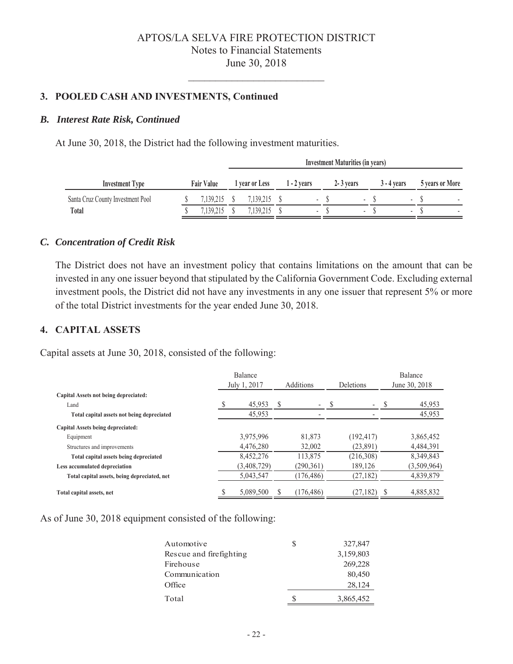#### 3. POOLED CASH AND INVESTMENTS, Continued

#### *B. Interest Rate Risk, Continued*

At June 30, 2018, the District had the following investment maturities.

|                                   |                   | Investment Maturities (in years) |                |  |                          |  |             |  |               |  |                 |
|-----------------------------------|-------------------|----------------------------------|----------------|--|--------------------------|--|-------------|--|---------------|--|-----------------|
| <b>Investment Type</b>            | <b>Fair Value</b> |                                  | 1 year or Less |  | 1 - 2 years              |  | 2 - 3 years |  | $3 - 4$ vears |  | 5 years or More |
| Santa Cruz County Investment Pool | 7.139.215         |                                  | 7,139,215      |  | ۰                        |  |             |  |               |  |                 |
| Total                             | 139 215           |                                  | ,139,215       |  | $\overline{\phantom{a}}$ |  |             |  |               |  |                 |

#### *C. Concentration of Credit Risk*

The District does not have an investment policy that contains limitations on the amount that can be invested in any one issuer beyond that stipulated by the California Government Code. Excluding external investment pools, the District did not have any investments in any one issuer that represent 5% or more of the total District investments for the year ended June 30, 2018.

#### **4. CAPITAL ASSETS**

Capital assets at June 30, 2018, consisted of the following:

|                                              |   | Balance      |   |            |                  |                          | Balance       |
|----------------------------------------------|---|--------------|---|------------|------------------|--------------------------|---------------|
|                                              |   | July 1, 2017 |   | Additions  | <b>Deletions</b> |                          | June 30, 2018 |
| Capital Assets not being depreciated:        |   |              |   |            |                  |                          |               |
| Land                                         |   | 45,953       | S | ٠          |                  | $\overline{\phantom{0}}$ | 45,953        |
| Total capital assets not being depreciated   |   | 45,953       |   |            |                  |                          | 45,953        |
| Capital Assets being depreciated:            |   |              |   |            |                  |                          |               |
| Equipment                                    |   | 3,975,996    |   | 81,873     |                  | (192, 417)               | 3,865,452     |
| Structures and improvements                  |   | 4,476,280    |   | 32,002     |                  | (23, 891)                | 4,484,391     |
| Total capital assets being depreciated       |   | 8,452,276    |   | 113,875    |                  | (216,308)                | 8,349,843     |
| Less accumulated depreciation                |   | (3,408,729)  |   | (290,361)  |                  | 189,126                  | (3,509,964)   |
| Total capital assets, being depreciated, net |   | 5,043,547    |   | (176, 486) |                  | (27, 182)                | 4,839,879     |
| Total capital assets, net                    | D | 5,089,500    |   | (176, 486) |                  | (27, 182)                | 4.885.832     |

As of June 30, 2018 equipment consisted of the following:

| Automotive              | S | 327,847   |
|-------------------------|---|-----------|
| Rescue and firefighting |   | 3,159,803 |
| Firehouse               |   | 269,228   |
| Communication           |   | 80,450    |
| Office                  |   | 28,124    |
| Total                   |   | 3,865,452 |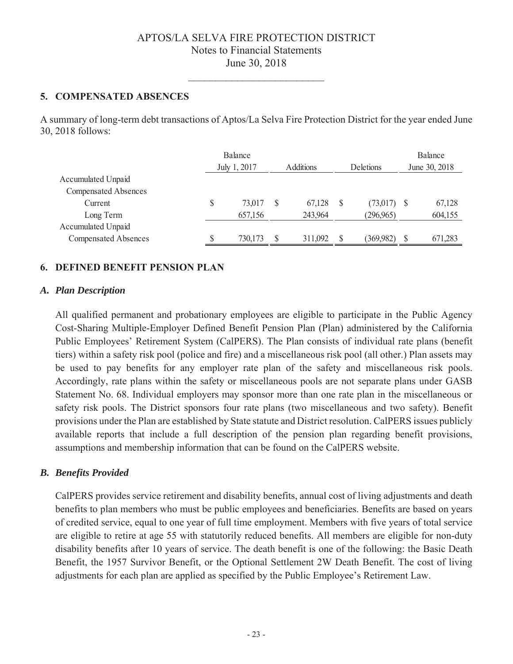#### 5. COMPENSATED ABSENCES

A summary of long-term debt transactions of Aptos/La Selva Fire Protection District for the year ended June 30, 2018 follows:

|                             |    | Balance<br>July 1, 2017 |   | <b>Additions</b> | <b>Deletions</b> |      | Balance<br>June 30, 2018 |
|-----------------------------|----|-------------------------|---|------------------|------------------|------|--------------------------|
| Accumulated Unpaid          |    |                         |   |                  |                  |      |                          |
| <b>Compensated Absences</b> |    |                         |   |                  |                  |      |                          |
| Current                     | \$ | 73,017                  | S | 67,128           | \$<br>(73,017)   | - \$ | 67,128                   |
| Long Term                   |    | 657,156                 |   | 243,964          | (296,965)        |      | 604,155                  |
| Accumulated Unpaid          |    |                         |   |                  |                  |      |                          |
| <b>Compensated Absences</b> | J  | 730,173                 |   | 311,092          | (369,982)        | J    | 671,283                  |

# **6. DEFINED BENEFIT PENSION PLAN**

#### A. Plan Description

All qualified permanent and probationary employees are eligible to participate in the Public Agency Cost-Sharing Multiple-Employer Defined Benefit Pension Plan (Plan) administered by the California Public Employees' Retirement System (CalPERS). The Plan consists of individual rate plans (benefit tiers) within a safety risk pool (police and fire) and a miscellaneous risk pool (all other.) Plan assets may be used to pay benefits for any employer rate plan of the safety and miscellaneous risk pools. Accordingly, rate plans within the safety or miscellaneous pools are not separate plans under GASB Statement No. 68. Individual employers may sponsor more than one rate plan in the miscellaneous or safety risk pools. The District sponsors four rate plans (two miscellaneous and two safety). Benefit provisions under the Plan are established by State statute and District resolution. CalPERS issues publicly available reports that include a full description of the pension plan regarding benefit provisions, assumptions and membership information that can be found on the CalPERS website.

#### **B.** Benefits Provided

CalPERS provides service retirement and disability benefits, annual cost of living adjustments and death benefits to plan members who must be public employees and beneficiaries. Benefits are based on years of credited service, equal to one year of full time employment. Members with five years of total service are eligible to retire at age 55 with statutorily reduced benefits. All members are eligible for non-duty disability benefits after 10 years of service. The death benefit is one of the following: the Basic Death Benefit, the 1957 Survivor Benefit, or the Optional Settlement 2W Death Benefit. The cost of living adjustments for each plan are applied as specified by the Public Employee's Retirement Law.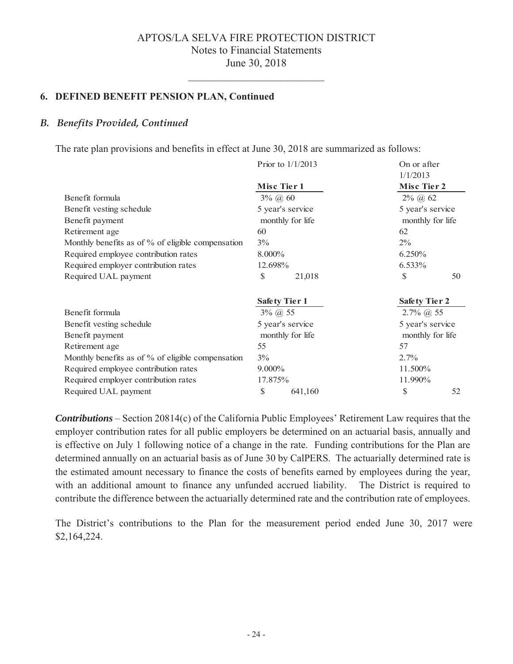#### **6. DEFINED BENEFIT PENSION PLAN, Continued**

#### *B. Benefits Provided, Continued*

The rate plan provisions and benefits in effect at June 30, 2018 are summarized as follows:

|                                                   | Prior to $1/1/2013$  | On or after             |
|---------------------------------------------------|----------------------|-------------------------|
|                                                   | Misc Tier 1          | 1/1/2013<br>Misc Tier 2 |
| Benefit formula                                   | $3\%$ (a) 60         | $2\%$ (a) 62            |
| Benefit vesting schedule                          | 5 year's service     | 5 year's service        |
| Benefit payment                                   | monthly for life     | monthly for life        |
| Retirement age                                    | 60                   | 62                      |
| Monthly benefits as of % of eligible compensation | 3%                   | $2\%$                   |
| Required employee contribution rates              | 8.000%               | 6.250%                  |
| Required employer contribution rates              | 12.698%              | 6.533%                  |
| Required UAL payment                              | \$<br>21,018         | \$<br>50                |
|                                                   | <b>Safety Tier 1</b> | <b>Safety Tier 2</b>    |
| Benefit formula                                   | $3\%$ (a) 55         | $2.7\%$ (a) 55          |
| Benefit vesting schedule                          | 5 year's service     | 5 year's service        |
| Benefit payment                                   | monthly for life     | monthly for life        |
| Retirement age                                    | 55                   | 57                      |
| Monthly benefits as of % of eligible compensation | $3\%$                | $2.7\%$                 |
| Required employee contribution rates              | 9.000%               | 11.500%                 |
| Required employer contribution rates              | 17.875%              | 11.990%                 |
| Required UAL payment                              | \$<br>641,160        | \$<br>52                |

**Contributions** – Section 20814(c) of the California Public Employees' Retirement Law requires that the employer contribution rates for all public employers be determined on an actuarial basis, annually and is effective on July 1 following notice of a change in the rate. Funding contributions for the Plan are determined annually on an actuarial basis as of June 30 by CalPERS. The actuarially determined rate is the estimated amount necessary to finance the costs of benefits earned by employees during the year, with an additional amount to finance any unfunded accrued liability. The District is required to contribute the difference between the actuarially determined rate and the contribution rate of employees.

The District's contributions to the Plan for the measurement period ended June 30, 2017 were \$2,164,224.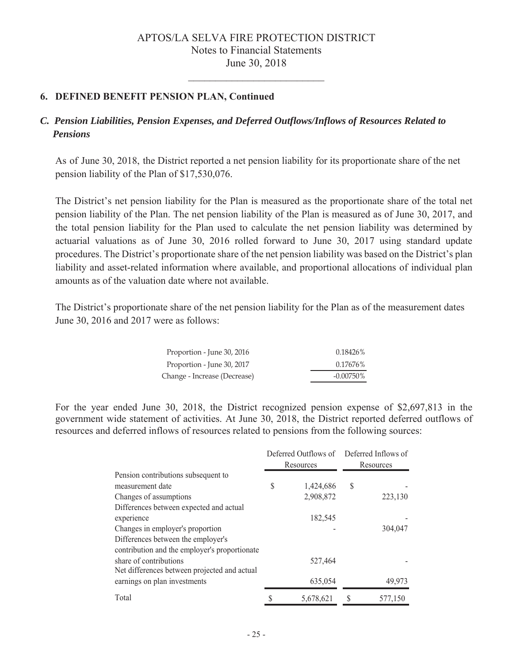# **6. DEFINED BENEFIT PENSION PLAN, Continued**

# *C. Pension Liabilities, Pension Expenses, and Deferred Outflows/Inflows of Resources Related to Pensions*

As of June 30, 2018, the District reported a net pension liability for its proportionate share of the net pension liability of the Plan of  $$17,530,076$ .

The District's net pension liability for the Plan is measured as the proportionate share of the total net pension liability of the Plan. The net pension liability of the Plan is measured as of June 30, 2017, and the total pension liability for the Plan used to calculate the net pension liability was determined by actuarial valuations as of June 30, 2016 rolled forward to June 30, 2017 using standard update procedures. The District's proportionate share of the net pension liability was based on the District's plan liability and asset-related information where available, and proportional allocations of individual plan amounts as of the valuation date where not available.

The District's proportionate share of the net pension liability for the Plan as of the measurement dates June 30, 2016 and 2017 were as follows:

| Proportion - June 30, 2016   | 0.18426%     |
|------------------------------|--------------|
| Proportion - June 30, 2017   | 0.17676%     |
| Change - Increase (Decrease) | $-0.00750\%$ |

For the year ended June 30, 2018, the District recognized pension expense of \$2,697,813 in the government wide statement of activities. At June 30, 2018, the District reported deferred outflows of resources and deferred inflows of resources related to pensions from the following sources:

|                                               |   | Resources | Deferred Outflows of Deferred Inflows of<br>Resources |         |  |
|-----------------------------------------------|---|-----------|-------------------------------------------------------|---------|--|
| Pension contributions subsequent to           |   |           |                                                       |         |  |
| measurement date                              | S | 1,424,686 | S                                                     |         |  |
| Changes of assumptions                        |   | 2,908,872 |                                                       | 223,130 |  |
| Differences between expected and actual       |   |           |                                                       |         |  |
| experience                                    |   | 182,545   |                                                       |         |  |
| Changes in employer's proportion              |   |           |                                                       | 304,047 |  |
| Differences between the employer's            |   |           |                                                       |         |  |
| contribution and the employer's proportionate |   |           |                                                       |         |  |
| share of contributions                        |   | 527,464   |                                                       |         |  |
| Net differences between projected and actual  |   |           |                                                       |         |  |
| earnings on plan investments                  |   | 635,054   |                                                       | 49,973  |  |
| Total                                         |   | 5,678,621 |                                                       | 577,150 |  |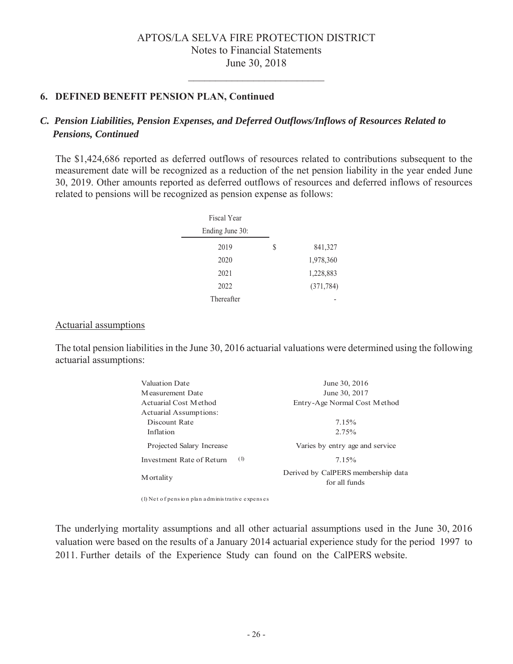# **6. DEFINED BENEFIT PENSION PLAN, Continued**

# *C. Pension Liabilities, Pension Expenses, and Deferred Outflows/Inflows of Resources Related to Pensions, Continued*

The \$1,424,686 reported as deferred outflows of resources related to contributions subsequent to the measurement date will be recognized as a reduction of the net pension liability in the year ended June 30, 2019. Other amounts reported as deferred outflows of resources and deferred inflows of resources related to pensions will be recognized as pension expense as follows:

| Fiscal Year     |   |            |
|-----------------|---|------------|
| Ending June 30: |   |            |
| 2019            | S | 841,327    |
| 2020            |   | 1,978,360  |
| 2021            |   | 1,228,883  |
| 2022            |   | (371, 784) |
| Thereafter      |   |            |

#### Actuarial assumptions

The total pension liabilities in the June 30, 2016 actuarial valuations were determined using the following actuarial assumptions:

| Valuation Date            |     | June 30, 2016                                       |
|---------------------------|-----|-----------------------------------------------------|
| Measurement Date          |     | June 30, 2017                                       |
| Actuarial Cost Method     |     | Entry-Age Normal Cost Method                        |
| Actuarial Assumptions:    |     |                                                     |
| Discount Rate             |     | 7.15%                                               |
| Inflation                 |     | 2.75%                                               |
| Projected Salary Increase |     | Varies by entry age and service                     |
| Investment Rate of Return | (1) | 7.15%                                               |
| M ortality                |     | Derived by CalPERS membership data<br>for all funds |

 $(1)$  Net of pension plan administrative expenses

The underlying mortality assumptions and all other actuarial assumptions used in the June 30, 2016 valuation were based on the results of a January 2014 actuarial experience study for the period 1997 to 2011. Further details of the Experience Study can found on the CalPERS website.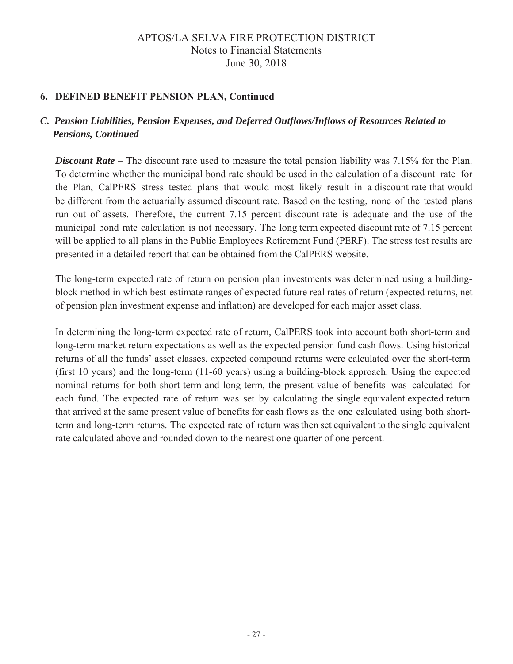# **6. DEFINED BENEFIT PENSION PLAN, Continued**

# *C. Pension Liabilities, Pension Expenses, and Deferred Outflows/Inflows of Resources Related to Pensions, Continued*

*Discount Rate* – The discount rate used to measure the total pension liability was 7.15% for the Plan. To determine whether the municipal bond rate should be used in the calculation of a discount rate for the Plan, CalPERS stress tested plans that would most likely result in a discount rate that would be different from the actuarially assumed discount rate. Based on the testing, none of the tested plans run out of assets. Therefore, the current  $7.15$  percent discount rate is adequate and the use of the municipal bond rate calculation is not necessary. The long term expected discount rate of 7.15 percent will be applied to all plans in the Public Employees Retirement Fund (PERF). The stress test results are presented in a detailed report that can be obtained from the CalPERS website.

The long-term expected rate of return on pension plan investments was determined using a buildingblock method in which best-estimate ranges of expected future real rates of return (expected returns, net of pension plan investment expense and inflation) are developed for each major asset class.

In determining the long-term expected rate of return, CalPERS took into account both short-term and long-term market return expectations as well as the expected pension fund cash flows. Using historical returns of all the funds' asset classes, expected compound returns were calculated over the short-term (first 10 years) and the long-term  $(11{\text -}60$  years) using a building-block approach. Using the expected nominal returns for both short-term and long-term, the present value of benefits was calculated for each fund. The expected rate of return was set by calculating the single equivalent expected return that arrived at the same present value of benefits for cash flows as the one calculated using both shortterm and long-term returns. The expected rate of return was then set equivalent to the single equivalent rate calculated above and rounded down to the nearest one quarter of one percent.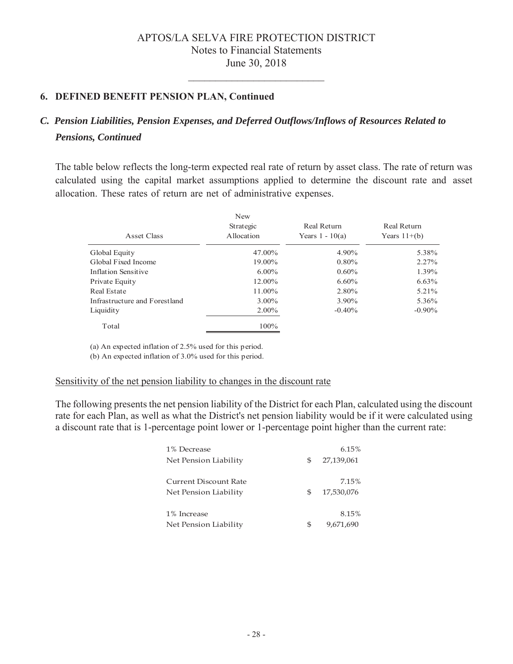# 6. DEFINED BENEFIT PENSION PLAN, Continued

# C. Pension Liabilities, Pension Expenses, and Deferred Outflows/Inflows of Resources Related to **Pensions, Continued**

The table below reflects the long-term expected real rate of return by asset class. The rate of return was calculated using the capital market assumptions applied to determine the discount rate and asset allocation. These rates of return are net of administrative expenses.

| Asset Class                   | New<br>Strategic<br>Allocation | Real Return<br>Years $1 - 10(a)$ | Real Return<br>Years $11+(b)$ |
|-------------------------------|--------------------------------|----------------------------------|-------------------------------|
| Global Equity                 | 47.00%                         | 4.90%                            | 5.38%                         |
| Global Fixed Income           | 19.00%                         | $0.80\%$                         | 2.27%                         |
| Inflation Sensitive           | $6.00\%$                       | $0.60\%$                         | 1.39%                         |
| Private Equity                | $12.00\%$                      | $6.60\%$                         | 6.63%                         |
| Real Estate                   | 11.00%                         | 2.80%                            | 5.21%                         |
| Infrastructure and Forestland | $3.00\%$                       | 3.90%                            | 5.36%                         |
| Liquidity                     | $2.00\%$                       | $-0.40\%$                        | $-0.90\%$                     |
| Total                         | $100\%$                        |                                  |                               |

(a) An expected inflation of 2.5% used for this period.

(b) An expected inflation of 3.0% used for this period.

#### Sensitivity of the net pension liability to changes in the discount rate

The following presents the net pension liability of the District for each Plan, calculated using the discount rate for each Plan, as well as what the District's net pension liability would be if it were calculated using a discount rate that is 1-percentage point lower or 1-percentage point higher than the current rate:

| 1% Decrease                  |   | 6.15%      |
|------------------------------|---|------------|
| Net Pension Liability        | S | 27,139,061 |
|                              |   |            |
| <b>Current Discount Rate</b> |   | 7.15%      |
| Net Pension Liability        | S | 17,530,076 |
|                              |   |            |
| 1% Increase                  |   | 8.15%      |
| Net Pension Liability        | S | 9,671,690  |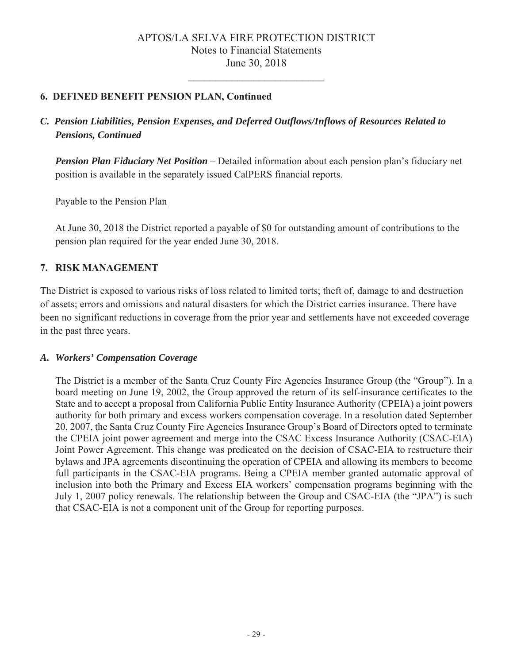# 6. DEFINED BENEFIT PENSION PLAN, Continued

# C. Pension Liabilities, Pension Expenses, and Deferred Outflows/Inflows of Resources Related to **Pensions, Continued**

**Pension Plan Fiduciary Net Position** – Detailed information about each pension plan's fiduciary net position is available in the separately issued CalPERS financial reports.

Payable to the Pension Plan

At June 30, 2018 the District reported a payable of \$0 for outstanding amount of contributions to the pension plan required for the year ended June 30, 2018.

# 7. RISK MANAGEMENT

The District is exposed to various risks of loss related to limited torts; theft of, damage to and destruction of assets; errors and omissions and natural disasters for which the District carries insurance. There have been no significant reductions in coverage from the prior year and settlements have not exceeded coverage in the past three years.

#### A. Workers' Compensation Coverage

The District is a member of the Santa Cruz County Fire Agencies Insurance Group (the "Group"). In a board meeting on June 19, 2002, the Group approved the return of its self-insurance certificates to the State and to accept a proposal from California Public Entity Insurance Authority (CPEIA) a joint powers authority for both primary and excess workers compensation coverage. In a resolution dated September 20, 2007, the Santa Cruz County Fire Agencies Insurance Group's Board of Directors opted to terminate the CPEIA joint power agreement and merge into the CSAC Excess Insurance Authority (CSAC-EIA) Joint Power Agreement. This change was predicated on the decision of CSAC-EIA to restructure their bylaws and JPA agreements discontinuing the operation of CPEIA and allowing its members to become full participants in the CSAC-EIA programs. Being a CPEIA member granted automatic approval of inclusion into both the Primary and Excess EIA workers' compensation programs beginning with the July 1, 2007 policy renewals. The relationship between the Group and CSAC-EIA (the "JPA") is such that CSAC-EIA is not a component unit of the Group for reporting purposes.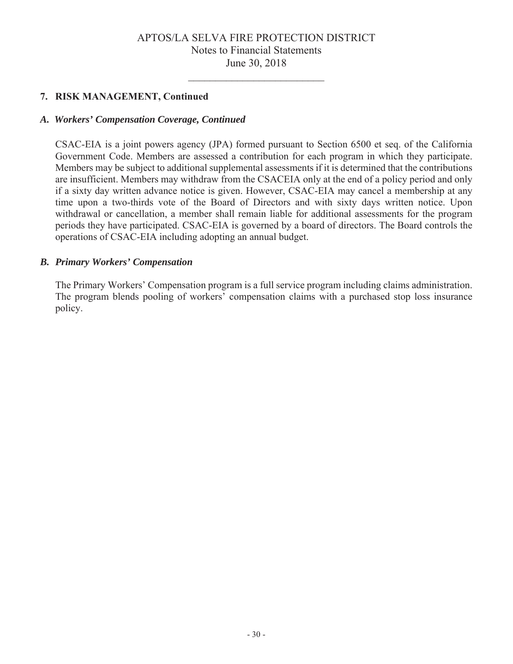#### 7. RISK MANAGEMENT, Continued

#### A. Workers' Compensation Coverage, Continued

CSAC-EIA is a joint powers agency (JPA) formed pursuant to Section 6500 et seq. of the California Government Code. Members are assessed a contribution for each program in which they participate. Members may be subject to additional supplemental assessments if it is determined that the contributions are insufficient. Members may withdraw from the CSACEIA only at the end of a policy period and only if a sixty day written advance notice is given. However, CSAC-EIA may cancel a membership at any time upon a two-thirds vote of the Board of Directors and with sixty days written notice. Upon withdrawal or cancellation, a member shall remain liable for additional assessments for the program periods they have participated. CSAC-EIA is governed by a board of directors. The Board controls the operations of CSAC-EIA including adopting an annual budget.

#### **B.** Primary Workers' Compensation

The Primary Workers' Compensation program is a full service program including claims administration. The program blends pooling of workers' compensation claims with a purchased stop loss insurance policy.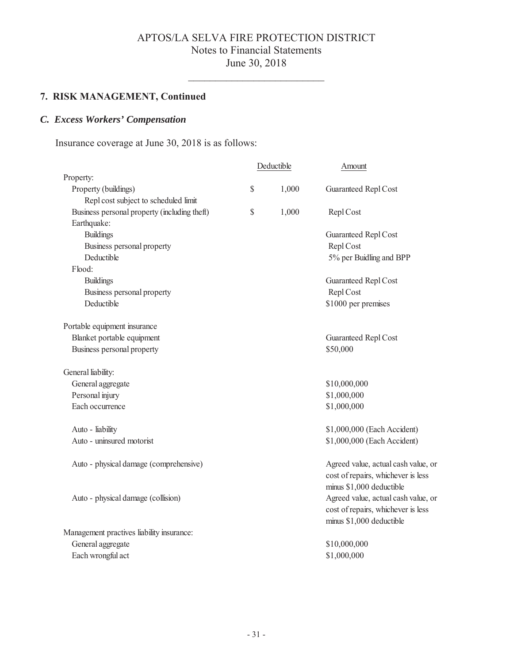$\overline{\phantom{0}}$ 

# 7. RISK MANAGEMENT, Continued

# C. Excess Workers' Compensation

Insurance coverage at June 30, 2018 is as follows:

|                                              | Deductible |       | Amount                                                                                                |  |
|----------------------------------------------|------------|-------|-------------------------------------------------------------------------------------------------------|--|
| Property:                                    |            |       |                                                                                                       |  |
| Property (buildings)                         | \$         | 1,000 | Guaranteed Repl Cost                                                                                  |  |
| Repl cost subject to scheduled limit         |            |       |                                                                                                       |  |
| Business personal property (including theft) | \$         | 1,000 | Repl Cost                                                                                             |  |
| Earthquake:                                  |            |       |                                                                                                       |  |
| <b>Buildings</b>                             |            |       | Guaranteed Repl Cost                                                                                  |  |
| Business personal property                   |            |       | Repl Cost                                                                                             |  |
| Deductible                                   |            |       | 5% per Buidling and BPP                                                                               |  |
| Flood:                                       |            |       |                                                                                                       |  |
| <b>Buildings</b>                             |            |       | Guaranteed Repl Cost                                                                                  |  |
| Business personal property                   |            |       | Repl Cost                                                                                             |  |
| Deductible                                   |            |       | \$1000 per premises                                                                                   |  |
| Portable equipment insurance                 |            |       |                                                                                                       |  |
| Blanket portable equipment                   |            |       | Guaranteed Repl Cost                                                                                  |  |
| Business personal property                   |            |       | \$50,000                                                                                              |  |
| General liability:                           |            |       |                                                                                                       |  |
| General aggregate                            |            |       | \$10,000,000                                                                                          |  |
| Personal injury                              |            |       | \$1,000,000                                                                                           |  |
| Each occurrence                              |            |       | \$1,000,000                                                                                           |  |
| Auto - liability                             |            |       | \$1,000,000 (Each Accident)                                                                           |  |
| Auto - uninsured motorist                    |            |       | \$1,000,000 (Each Accident)                                                                           |  |
| Auto - physical damage (comprehensive)       |            |       | Agreed value, actual cash value, or<br>cost of repairs, whichever is less<br>minus \$1,000 deductible |  |
| Auto - physical damage (collision)           |            |       | Agreed value, actual cash value, or<br>cost of repairs, whichever is less<br>minus \$1,000 deductible |  |
| Management practives liability insurance:    |            |       |                                                                                                       |  |
| General aggregate                            |            |       | \$10,000,000                                                                                          |  |
| Each wrongful act                            |            |       | \$1,000,000                                                                                           |  |
|                                              |            |       |                                                                                                       |  |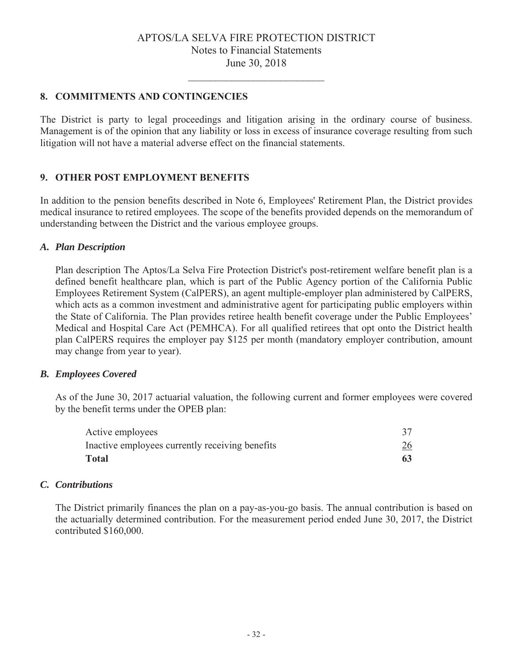# 8. COMMITMENTS AND CONTINGENCIES

The District is party to legal proceedings and litigation arising in the ordinary course of business. Management is of the opinion that any liability or loss in excess of insurance coverage resulting from such litigation will not have a material adverse effect on the financial statements.

#### 9. OTHER POST EMPLOYMENT BENEFITS

In addition to the pension benefits described in Note 6, Employees' Retirement Plan, the District provides medical insurance to retired employees. The scope of the benefits provided depends on the memorandum of understanding between the District and the various employee groups.

#### A. Plan Description

Plan description The Aptos/La Selva Fire Protection District's post-retirement welfare benefit plan is a defined benefit healthcare plan, which is part of the Public Agency portion of the California Public Employees Retirement System (CalPERS), an agent multiple-employer plan administered by CalPERS, which acts as a common investment and administrative agent for participating public employers within the State of California. The Plan provides retiree health benefit coverage under the Public Employees' Medical and Hospital Care Act (PEMHCA). For all qualified retirees that opt onto the District health plan CalPERS requires the employer pay \$125 per month (mandatory employer contribution, amount may change from year to year).

#### **B.** Employees Covered

As of the June 30, 2017 actuarial valuation, the following current and former employees were covered by the benefit terms under the OPEB plan:

| Active employees                                |            |
|-------------------------------------------------|------------|
| Inactive employees currently receiving benefits | <u> 26</u> |
| <b>Total</b>                                    | 63         |

#### C. Contributions

The District primarily finances the plan on a pay-as-you-go basis. The annual contribution is based on the actuarially determined contribution. For the measurement period ended June 30, 2017, the District contributed \$160,000.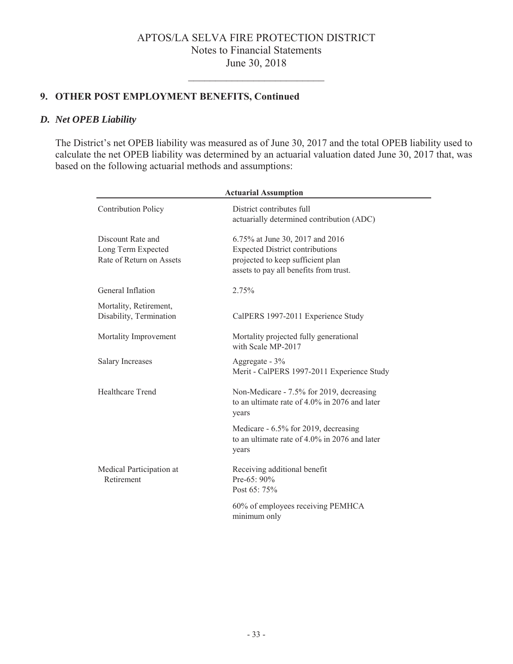# 9. OTHER POST EMPLOYMENT BENEFITS, Continued

#### D. Net OPEB Liability

The District's net OPEB liability was measured as of June 30, 2017 and the total OPEB liability used to calculate the net OPEB liability was determined by an actuarial valuation dated June 30, 2017 that, was based on the following actuarial methods and assumptions:

| <b>Actuarial Assumption</b>                                         |                                                                                                                                                          |  |  |  |
|---------------------------------------------------------------------|----------------------------------------------------------------------------------------------------------------------------------------------------------|--|--|--|
| <b>Contribution Policy</b>                                          | District contributes full<br>actuarially determined contribution (ADC)                                                                                   |  |  |  |
| Discount Rate and<br>Long Term Expected<br>Rate of Return on Assets | 6.75% at June 30, 2017 and 2016<br><b>Expected District contributions</b><br>projected to keep sufficient plan<br>assets to pay all benefits from trust. |  |  |  |
| General Inflation                                                   | 2.75%                                                                                                                                                    |  |  |  |
| Mortality, Retirement,<br>Disability, Termination                   | CalPERS 1997-2011 Experience Study                                                                                                                       |  |  |  |
| Mortality Improvement                                               | Mortality projected fully generational<br>with Scale MP-2017                                                                                             |  |  |  |
| <b>Salary Increases</b>                                             | Aggregate - 3%<br>Merit - CalPERS 1997-2011 Experience Study                                                                                             |  |  |  |
| Healthcare Trend                                                    | Non-Medicare - 7.5% for 2019, decreasing<br>to an ultimate rate of 4.0% in 2076 and later<br>years                                                       |  |  |  |
|                                                                     | Medicare - 6.5% for 2019, decreasing<br>to an ultimate rate of 4.0% in 2076 and later<br>years                                                           |  |  |  |
| Medical Participation at<br>Retirement                              | Receiving additional benefit<br>Pre-65: 90%<br>Post 65: 75%                                                                                              |  |  |  |
|                                                                     | 60% of employees receiving PEMHCA<br>minimum only                                                                                                        |  |  |  |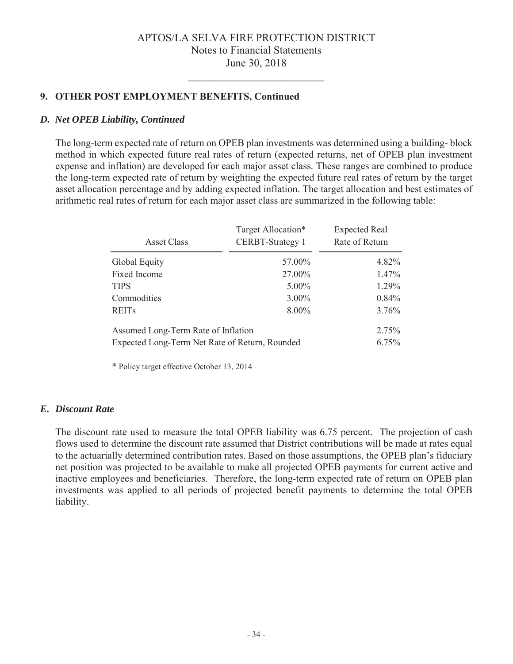# 9. OTHER POST EMPLOYMENT BENEFITS, Continued

#### D. Net OPEB Liability, Continued

The long-term expected rate of return on OPEB plan investments was determined using a building-block method in which expected future real rates of return (expected returns, net of OPEB plan investment expense and inflation) are developed for each major asset class. These ranges are combined to produce the long-term expected rate of return by weighting the expected future real rates of return by the target asset allocation percentage and by adding expected inflation. The target allocation and best estimates of arithmetic real rates of return for each major asset class are summarized in the following table:

| Asset Class                                    | Target Allocation*<br><b>CERBT-Strategy 1</b> | <b>Expected Real</b><br>Rate of Return |  |  |
|------------------------------------------------|-----------------------------------------------|----------------------------------------|--|--|
| Global Equity                                  | 57.00%                                        | 4.82%                                  |  |  |
| Fixed Income                                   | 27.00%                                        | $1.47\%$                               |  |  |
| <b>TIPS</b>                                    | $5.00\%$                                      | 1.29%                                  |  |  |
| Commodities                                    | $3.00\%$                                      | $0.84\%$                               |  |  |
| <b>REITs</b>                                   | 8.00%                                         | 3.76%                                  |  |  |
| Assumed Long-Term Rate of Inflation            | $2.75\%$                                      |                                        |  |  |
| Expected Long-Term Net Rate of Return, Rounded |                                               | $6.75\%$                               |  |  |

\* Policy target effective October 13, 2014

#### E. Discount Rate

The discount rate used to measure the total OPEB liability was 6.75 percent. The projection of cash flows used to determine the discount rate assumed that District contributions will be made at rates equal to the actuarially determined contribution rates. Based on those assumptions, the OPEB plan's fiduciary net position was projected to be available to make all projected OPEB payments for current active and inactive employees and beneficiaries. Therefore, the long-term expected rate of return on OPEB plan investments was applied to all periods of projected benefit payments to determine the total OPEB liability.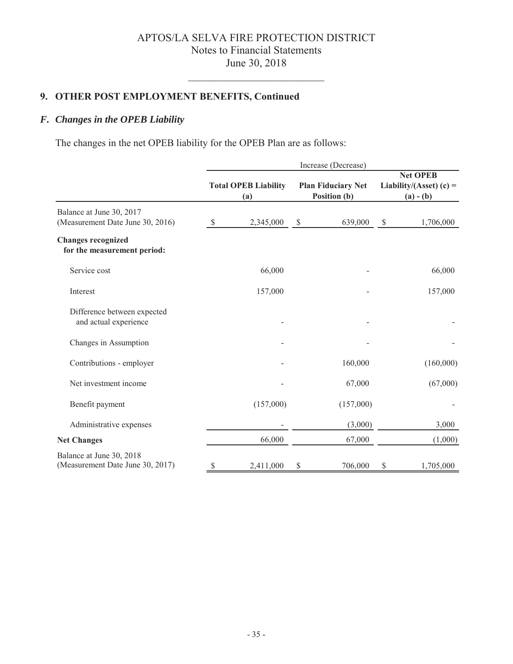# **2. OTHER POST EMPLOYMENT BENEFITS, Continued**

# *F. Changes in the OPEB Liability*

The changes in the net OPEB liability for the OPEB Plan are as follows:

|                                                              | Increase (Decrease) |                                    |    |                                           |                                                             |           |
|--------------------------------------------------------------|---------------------|------------------------------------|----|-------------------------------------------|-------------------------------------------------------------|-----------|
|                                                              |                     | <b>Total OPEB Liability</b><br>(a) |    | <b>Plan Fiduciary Net</b><br>Position (b) | <b>Net OPEB</b><br>Liability/(Asset) $(c)$ =<br>$(a) - (b)$ |           |
| Balance at June 30, 2017<br>(Measurement Date June 30, 2016) | $\mathbb{S}$        | 2,345,000                          | \$ | 639,000                                   | \$                                                          | 1,706,000 |
| <b>Changes recognized</b><br>for the measurement period:     |                     |                                    |    |                                           |                                                             |           |
| Service cost                                                 |                     | 66,000                             |    |                                           |                                                             | 66,000    |
| Interest                                                     |                     | 157,000                            |    |                                           |                                                             | 157,000   |
| Difference between expected<br>and actual experience         |                     |                                    |    |                                           |                                                             |           |
| Changes in Assumption                                        |                     |                                    |    |                                           |                                                             |           |
| Contributions - employer                                     |                     |                                    |    | 160,000                                   |                                                             | (160,000) |
| Net investment income                                        |                     |                                    |    | 67,000                                    |                                                             | (67,000)  |
| Benefit payment                                              |                     | (157,000)                          |    | (157,000)                                 |                                                             |           |
| Administrative expenses                                      |                     |                                    |    | (3,000)                                   |                                                             | 3,000     |
| <b>Net Changes</b>                                           |                     | 66,000                             |    | 67,000                                    |                                                             | (1,000)   |
| Balance at June 30, 2018<br>(Measurement Date June 30, 2017) | \$                  | 2,411,000                          | \$ | 706,000                                   | \$                                                          | 1,705,000 |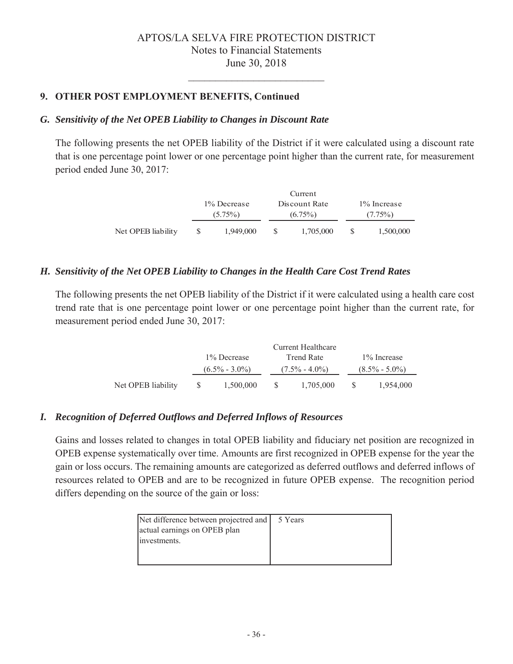# **27 OTHER POST EMPLOYMENT BENEFITS, Continued**

#### *G. Sensitivity of the Net OPEB Liability to Changes in Discount Rate*

The following presents the net OPEB liability of the District if it were calculated using a discount rate that is one percentage point lower or one percentage point higher than the current rate, for measurement period ended June 30, 2017:

|                    | 1% Decrease<br>$(5.75\%)$ |  | Discount Rate<br>$(6.75\%)$ |    | 1% Increase<br>$(7.75\%)$ |  |
|--------------------|---------------------------|--|-----------------------------|----|---------------------------|--|
| Net OPEB liability | 1.949,000                 |  | 1,705,000                   | -8 | 1,500,000                 |  |

#### *H. Sensitivity of the Net OPEB Liability to Changes in the Health Care Cost Trend Rates*

The following presents the net OPEB liability of the District if it were calculated using a health care cost trend rate that is one percentage point lower or one percentage point higher than the current rate, for measurement period ended June 30, 2017:

|                    | Current Healthcare |                   |  |                   |                                   |           |  |
|--------------------|--------------------|-------------------|--|-------------------|-----------------------------------|-----------|--|
|                    | 1% Decrease        |                   |  | Trend Rate        | 1\% Increase<br>$(8.5\% - 5.0\%)$ |           |  |
|                    |                    | $(6.5\% - 3.0\%)$ |  | $(7.5\% - 4.0\%)$ |                                   |           |  |
| Net OPEB liability | -SS-               | 1,500,000         |  | 1,705,000         | -S                                | 1.954,000 |  |

#### *I. Recognition of Deferred Outflows and Deferred Inflows of Resources*

Gains and losses related to changes in total OPEB liability and fiduciary net position are recognized in OPEB expense systematically over time. Amounts are first recognized in OPEB expense for the year the gain or loss occurs. The remaining amounts are categorized as deferred outflows and deferred inflows of resources related to OPEB and are to be recognized in future OPEB expense. The recognition period differs depending on the source of the gain or loss:

| Net difference between projectred and   5 Years |  |
|-------------------------------------------------|--|
| actual earnings on OPEB plan                    |  |
| investments.                                    |  |
|                                                 |  |
|                                                 |  |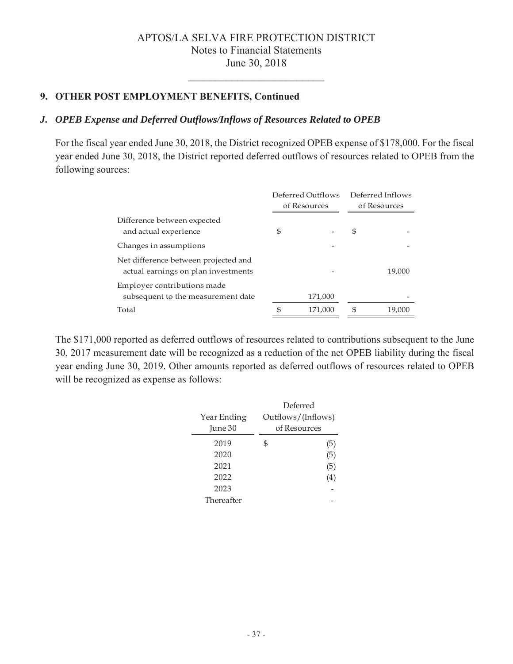# **27 OTHER POST EMPLOYMENT BENEFITS, Continued**

#### *J. OPEB Expense and Deferred Outflows/Inflows of Resources Related to OPEB*

For the fiscal year ended June 30, 2018, the District recognized OPEB expense of \$178,000. For the fiscal year ended June 30, 2018, the District reported deferred outflows of resources related to OPEB from the following sources:

|                                                                             | Deferred Outflows |         | Deferred Inflows |        |
|-----------------------------------------------------------------------------|-------------------|---------|------------------|--------|
|                                                                             | of Resources      |         | of Resources     |        |
| Difference between expected<br>and actual experience                        | \$                |         | S                |        |
| Changes in assumptions                                                      |                   |         |                  |        |
| Net difference between projected and<br>actual earnings on plan investments |                   |         |                  | 19,000 |
| Employer contributions made<br>subsequent to the measurement date           |                   | 171,000 |                  |        |
| Total                                                                       | ዳ                 | 171,000 | \$.              | 19,000 |

The \$171,000 reported as deferred outflows of resources related to contributions subsequent to the June 30, 2017 measurement date will be recognized as a reduction of the net OPEB liability during the fiscal year ending June 30, 2019. Other amounts reported as deferred outflows of resources related to OPEB will be recognized as expense as follows:

|             | Deferred           |              |  |  |
|-------------|--------------------|--------------|--|--|
| Year Ending | Outflows/(Inflows) |              |  |  |
| June 30     |                    | of Resources |  |  |
| 2019        | \$                 | (5)          |  |  |
| 2020        |                    | (5)          |  |  |
| 2021        |                    | (5)          |  |  |
| 2022        |                    | (4)          |  |  |
| 2023        |                    |              |  |  |
| Thereafter  |                    |              |  |  |
|             |                    |              |  |  |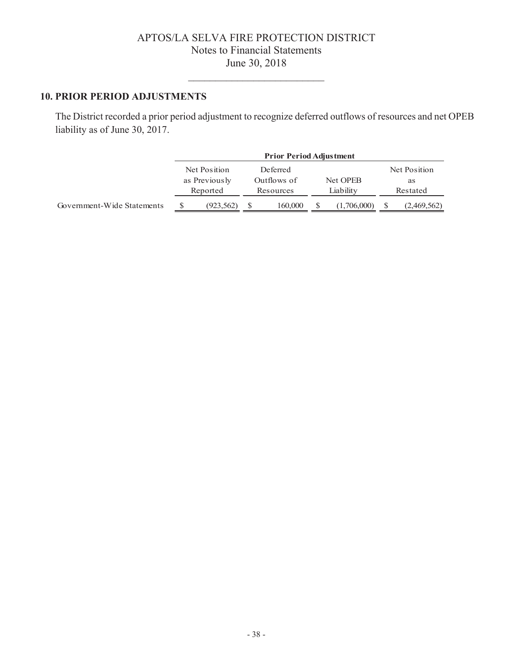#### **10. PRIOR PERIOD ADJUSTMENTS**

The District recorded a prior period adjustment to recognize deferred outflows of resources and net OPEB liability as of June 30, 2017.

|                            |                           | <b>Prior Period Adjustment</b> |                          |          |           |             |          |              |  |
|----------------------------|---------------------------|--------------------------------|--------------------------|----------|-----------|-------------|----------|--------------|--|
|                            |                           | Net Position                   |                          | Deferred |           |             |          | Net Position |  |
|                            | as Previously<br>Reported |                                | Outflows of<br>Resources |          |           | Net OPEB    | as       |              |  |
|                            |                           |                                |                          |          | Liability |             | Restated |              |  |
| Government-Wide Statements |                           | (923, 562)                     |                          | 160,000  |           | (1,706,000) |          | (2,469,562)  |  |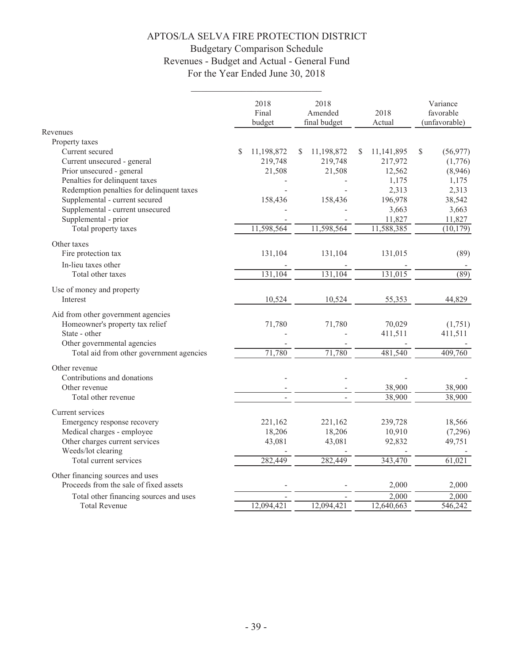# **Budgetary Comparison Schedule** Revenues - Budget and Actual - General Fund For the Year Ended June 30, 2018

|                                           | 2018<br>Final<br>budget | 2018<br>Amended<br>final budget |   | 2018<br>Actual | Variance<br>favorable<br>(unfavorable) |
|-------------------------------------------|-------------------------|---------------------------------|---|----------------|----------------------------------------|
| Revenues                                  |                         |                                 |   |                |                                        |
| Property taxes                            |                         |                                 |   |                |                                        |
| Current secured                           | \$<br>11,198,872        | 11,198,872<br>S                 | S | 11,141,895     | \$<br>(56, 977)                        |
| Current unsecured - general               | 219,748                 | 219,748                         |   | 217,972        | (1,776)                                |
| Prior unsecured - general                 | 21,508                  | 21,508                          |   | 12,562         | (8,946)                                |
| Penalties for delinquent taxes            |                         |                                 |   | 1,175          | 1,175                                  |
| Redemption penalties for delinquent taxes |                         |                                 |   | 2,313          | 2,313                                  |
| Supplemental - current secured            | 158,436                 | 158,436                         |   | 196,978        | 38,542                                 |
| Supplemental - current unsecured          |                         |                                 |   | 3,663          | 3,663                                  |
| Supplemental - prior                      |                         |                                 |   | 11,827         | 11,827                                 |
| Total property taxes                      | 11,598,564              | 11,598,564                      |   | 11,588,385     | (10, 179)                              |
| Other taxes                               |                         |                                 |   |                |                                        |
| Fire protection tax                       | 131,104                 | 131,104                         |   | 131,015        | (89)                                   |
| In-lieu taxes other                       |                         |                                 |   |                |                                        |
| Total other taxes                         | 131,104                 | 131,104                         |   | 131,015        | (89)                                   |
| Use of money and property                 |                         |                                 |   |                |                                        |
| Interest                                  | 10,524                  | 10,524                          |   | 55,353         | 44,829                                 |
| Aid from other government agencies        |                         |                                 |   |                |                                        |
| Homeowner's property tax relief           | 71,780                  | 71,780                          |   | 70,029         | (1,751)                                |
| State - other                             |                         |                                 |   | 411,511        | 411,511                                |
| Other governmental agencies               |                         |                                 |   |                |                                        |
| Total aid from other government agencies  | 71,780                  | 71,780                          |   | 481,540        | 409,760                                |
| Other revenue                             |                         |                                 |   |                |                                        |
| Contributions and donations               |                         |                                 |   |                |                                        |
| Other revenue                             |                         |                                 |   | 38,900         | 38,900                                 |
| Total other revenue                       | ÷.                      |                                 |   | 38,900         | 38,900                                 |
| Current services                          |                         |                                 |   |                |                                        |
| Emergency response recovery               | 221,162                 | 221,162                         |   | 239,728        | 18,566                                 |
| Medical charges - employee                | 18,206                  | 18,206                          |   | 10,910         | (7,296)                                |
| Other charges current services            | 43,081                  | 43,081                          |   | 92,832         | 49,751                                 |
| Weeds/lot clearing                        |                         |                                 |   |                |                                        |
| Total current services                    | 282,449                 | 282,449                         |   | 343,470        | 61,021                                 |
| Other financing sources and uses          |                         |                                 |   |                |                                        |
| Proceeds from the sale of fixed assets    |                         |                                 |   | 2,000          | 2,000                                  |
| Total other financing sources and uses    |                         |                                 |   | 2,000          | 2,000                                  |
| <b>Total Revenue</b>                      | 12,094,421              | 12,094,421                      |   | 12,640,663     | 546,242                                |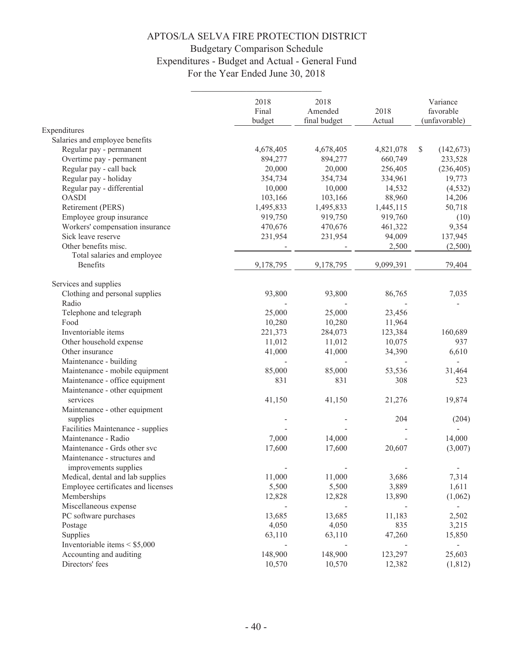# **Budgetary Comparison Schedule** Expenditures - Budget and Actual - General Fund For the Year Ended June 30, 2018

|                                    | 2018<br>Final<br>budget | 2018<br>Amended<br>final budget | 2018<br>Actual | Variance<br>favorable<br>(unfavorable) |
|------------------------------------|-------------------------|---------------------------------|----------------|----------------------------------------|
| Expenditures                       |                         |                                 |                |                                        |
| Salaries and employee benefits     |                         |                                 |                |                                        |
| Regular pay - permanent            | 4,678,405               | 4,678,405                       | 4,821,078      | \$<br>(142, 673)                       |
| Overtime pay - permanent           | 894,277                 | 894,277                         | 660,749        | 233,528                                |
| Regular pay - call back            | 20,000                  | 20,000                          | 256,405        | (236, 405)                             |
| Regular pay - holiday              | 354,734                 | 354,734                         | 334,961        | 19,773                                 |
| Regular pay - differential         | 10,000                  | 10,000                          | 14,532         | (4, 532)                               |
| <b>OASDI</b>                       | 103,166                 | 103,166                         | 88,960         | 14,206                                 |
| Retirement (PERS)                  | 1,495,833               | 1,495,833                       | 1,445,115      | 50,718                                 |
| Employee group insurance           | 919,750                 | 919,750                         | 919,760        | (10)                                   |
| Workers' compensation insurance    | 470,676                 | 470,676                         | 461,322        | 9,354                                  |
| Sick leave reserve                 | 231,954                 | 231,954                         | 94,009         | 137,945                                |
| Other benefits misc.               |                         |                                 | 2,500          | (2,500)                                |
| Total salaries and employee        |                         |                                 |                |                                        |
| Benefits                           | 9,178,795               | 9,178,795                       | 9,099,391      | 79,404                                 |
|                                    |                         |                                 |                |                                        |
| Services and supplies              |                         |                                 |                |                                        |
| Clothing and personal supplies     | 93,800                  | 93,800                          | 86,765         | 7,035                                  |
| Radio                              |                         |                                 |                |                                        |
| Telephone and telegraph            | 25,000                  | 25,000                          | 23,456         |                                        |
| Food                               | 10,280                  | 10,280                          | 11,964         |                                        |
| Inventoriable items                | 221,373                 | 284,073                         | 123,384        | 160,689                                |
| Other household expense            | 11,012                  | 11,012                          | 10,075         | 937                                    |
| Other insurance                    | 41,000                  | 41,000                          | 34,390         | 6,610                                  |
| Maintenance - building             |                         |                                 |                |                                        |
| Maintenance - mobile equipment     | 85,000                  | 85,000                          | 53,536         | 31,464                                 |
| Maintenance - office equipment     | 831                     | 831                             | 308            | 523                                    |
| Maintenance - other equipment      |                         |                                 |                |                                        |
| services                           | 41,150                  | 41,150                          | 21,276         | 19,874                                 |
| Maintenance - other equipment      |                         |                                 |                |                                        |
| supplies                           |                         |                                 | 204            | (204)                                  |
| Facilities Maintenance - supplies  |                         |                                 |                |                                        |
| Maintenance - Radio                | 7,000                   | 14,000                          |                | 14,000                                 |
| Maintenance - Grds other svc       | 17,600                  | 17,600                          | 20,607         | (3,007)                                |
| Maintenance - structures and       |                         |                                 |                |                                        |
| improvements supplies              |                         |                                 |                |                                        |
| Medical, dental and lab supplies   | 11,000                  | 11,000                          | 3,686          | 7,314                                  |
| Employee certificates and licenses | 5,500                   | 5,500                           | 3,889          | 1,611                                  |
| Memberships                        | 12,828                  | 12,828                          | 13,890         | (1,062)                                |
| Miscellaneous expense              |                         |                                 |                | $\overline{\phantom{a}}$               |
| PC software purchases              | 13,685                  | 13,685                          | 11,183         | 2,502                                  |
| Postage                            | 4,050                   | 4,050                           | 835            | 3,215                                  |
| Supplies                           | 63,110                  | 63,110                          | 47,260         | 15,850                                 |
| Inventoriable items $\le$ \$5,000  |                         |                                 |                | $\overline{\phantom{a}}$               |
| Accounting and auditing            | 148,900                 | 148,900                         | 123,297        | 25,603                                 |
| Directors' fees                    | 10,570                  | 10,570                          | 12,382         | (1, 812)                               |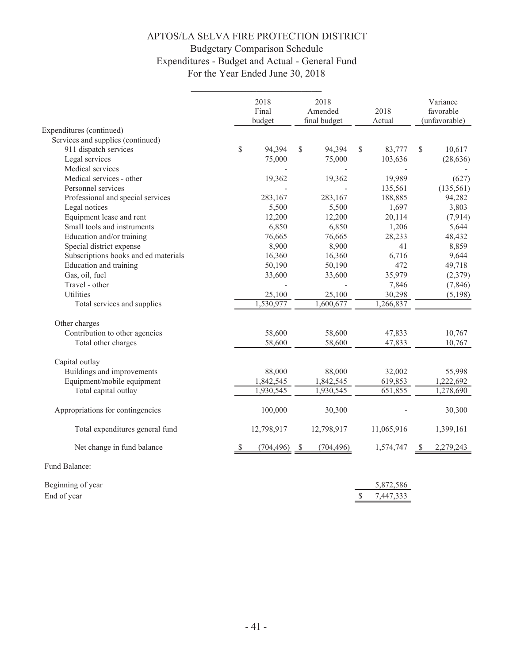# **Budgetary Comparison Schedule** Expenditures - Budget and Actual - General Fund For the Year Ended June 30, 2018

|                                      |              | 2018<br>2018<br>Final<br>Amended<br>final budget<br>budget |    | 2018<br>Actual |    | Variance<br>favorable<br>(unfavorable) |    |            |
|--------------------------------------|--------------|------------------------------------------------------------|----|----------------|----|----------------------------------------|----|------------|
| Expenditures (continued)             |              |                                                            |    |                |    |                                        |    |            |
| Services and supplies (continued)    |              |                                                            |    |                |    |                                        |    |            |
| 911 dispatch services                | $\mathbb{S}$ | 94,394                                                     | \$ | 94,394         | \$ | 83,777                                 | \$ | 10,617     |
| Legal services                       |              | 75,000                                                     |    | 75,000         |    | 103,636                                |    | (28, 636)  |
| Medical services                     |              |                                                            |    |                |    |                                        |    |            |
| Medical services - other             |              | 19,362                                                     |    | 19,362         |    | 19,989                                 |    | (627)      |
| Personnel services                   |              |                                                            |    |                |    | 135,561                                |    | (135, 561) |
| Professional and special services    |              | 283,167                                                    |    | 283,167        |    | 188,885                                |    | 94,282     |
| Legal notices                        |              | 5,500                                                      |    | 5,500          |    | 1,697                                  |    | 3,803      |
| Equipment lease and rent             |              | 12,200                                                     |    | 12,200         |    | 20,114                                 |    | (7, 914)   |
| Small tools and instruments          |              | 6,850                                                      |    | 6,850          |    | 1,206                                  |    | 5,644      |
| Education and/or training            |              | 76,665                                                     |    | 76,665         |    | 28,233                                 |    | 48,432     |
| Special district expense             |              | 8,900                                                      |    | 8,900          |    | 41                                     |    | 8,859      |
| Subscriptions books and ed materials |              | 16,360                                                     |    | 16,360         |    | 6,716                                  |    | 9,644      |
| Education and training               |              | 50,190                                                     |    | 50,190         |    | 472                                    |    | 49,718     |
| Gas, oil, fuel                       |              | 33,600                                                     |    | 33,600         |    | 35,979                                 |    | (2,379)    |
| Travel - other                       |              |                                                            |    |                |    | 7,846                                  |    | (7, 846)   |
| Utilities                            |              | 25,100                                                     |    | 25,100         |    | 30,298                                 |    | (5,198)    |
| Total services and supplies          |              | 1,530,977                                                  |    | 1,600,677      |    | 1,266,837                              |    |            |
| Other charges                        |              |                                                            |    |                |    |                                        |    |            |
| Contribution to other agencies       |              | 58,600                                                     |    | 58,600         |    | 47,833                                 |    | 10,767     |
| Total other charges                  |              | 58,600                                                     |    | 58,600         |    | 47,833                                 |    | 10,767     |
| Capital outlay                       |              |                                                            |    |                |    |                                        |    |            |
| Buildings and improvements           |              | 88,000                                                     |    | 88,000         |    | 32,002                                 |    | 55,998     |
| Equipment/mobile equipment           |              | 1,842,545                                                  |    | 1,842,545      |    | 619,853                                |    | 1,222,692  |
| Total capital outlay                 |              | 1,930,545                                                  |    | 1,930,545      |    | 651,855                                |    | 1,278,690  |
| Appropriations for contingencies     |              | 100,000                                                    |    | 30,300         |    |                                        |    | 30,300     |
| Total expenditures general fund      |              | 12,798,917                                                 |    | 12,798,917     |    | 11,065,916                             |    | 1,399,161  |
| Net change in fund balance           | \$           | (704, 496)                                                 | \$ | (704, 496)     |    | 1,574,747                              | -S | 2,279,243  |
| Fund Balance:                        |              |                                                            |    |                |    |                                        |    |            |
| Beginning of year                    |              |                                                            |    |                |    | 5,872,586                              |    |            |

7,447,333

 $\mathbb S$ 

End of year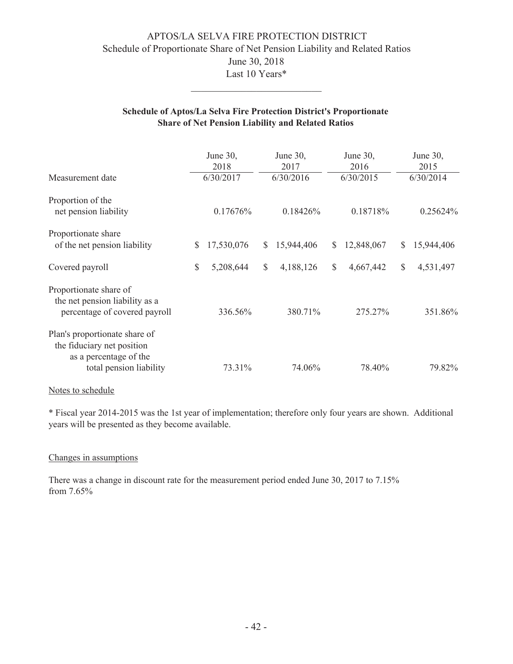# APTOS/LA SELVA FIRE PROTECTION DISTRICT Schedule of Proportionate Share of Net Pension Liability and Related Ratios June 30, 2018 Last 10 Years\*

#### Schedule of Aptos/La Selva Fire Protection District's Proportionate **Share of Net Pension Liability and Related Ratios**

| Measurement date                                                                                                 | June 30,<br>2018<br>6/30/2017 | June 30,<br>2017<br>6/30/2016 | June $30$ ,<br>2016<br>6/30/2015 | June $30$ ,<br>2015<br>6/30/2014 |
|------------------------------------------------------------------------------------------------------------------|-------------------------------|-------------------------------|----------------------------------|----------------------------------|
| Proportion of the<br>net pension liability                                                                       | $0.17676\%$                   | 0.18426%                      | 0.18718%                         | 0.25624%                         |
| Proportionate share<br>of the net pension liability                                                              | 17,530,076<br><sup>\$</sup>   | 15,944,406<br><sup>S</sup>    | 12,848,067<br>$\mathbb{S}$       | 15,944,406<br><sup>\$</sup>      |
| Covered payroll                                                                                                  | \$<br>5,208,644               | $\mathcal{S}$<br>4,188,126    | \$<br>4,667,442                  | $\mathcal{S}$<br>4,531,497       |
| Proportionate share of<br>the net pension liability as a<br>percentage of covered payroll                        | 336.56%                       | 380.71%                       | 275.27%                          | 351.86%                          |
| Plan's proportionate share of<br>the fiduciary net position<br>as a percentage of the<br>total pension liability | 73.31%                        | 74.06%                        | 78.40%                           | 79.82%                           |
|                                                                                                                  |                               |                               |                                  |                                  |

#### Notes to schedule

\* Fiscal year 2014-2015 was the 1st year of implementation; therefore only four years are shown. Additional years will be presented as they become available.

#### Changes in assumptions

There was a change in discount rate for the measurement period ended June 30, 2017 to 7.15% from 7.65%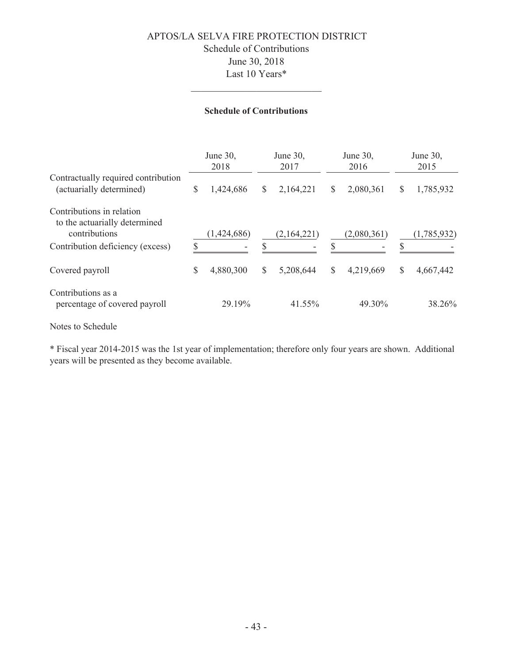# APTOS/LA SELVA FIRE PROTECTION DISTRICT Schedule of Contributions June 30, 2018 Last 10 Years\*

#### **Schedule of Contributions**

|                                                                             |               | June 30,<br>2018 |   | June 30,<br>2017 |              | June 30,<br>2016 |    | June 30,<br>2015 |  |
|-----------------------------------------------------------------------------|---------------|------------------|---|------------------|--------------|------------------|----|------------------|--|
| Contractually required contribution<br>(actuarially determined)             | $\mathcal{S}$ | 1,424,686        | S | 2,164,221        | $\mathbb{S}$ | 2,080,361        | \$ | 1,785,932        |  |
| Contributions in relation<br>to the actuarially determined<br>contributions |               | (1,424,686)      |   | (2,164,221)      |              | (2,080,361)      |    | (1,785,932)      |  |
| Contribution deficiency (excess)                                            |               |                  |   |                  | \$           |                  |    |                  |  |
| Covered payroll                                                             | \$            | 4,880,300        | S | 5,208,644        | $\mathbb{S}$ | 4,219,669        | \$ | 4,667,442        |  |
| Contributions as a<br>percentage of covered payroll                         |               | 29.19%           |   | 41.55%           |              | 49.30%           |    | 38.26%           |  |

Notes to Schedule

\* Fiscal year 2014-2015 was the 1st year of implementation; therefore only four years are shown. Additional years will be presented as they become available.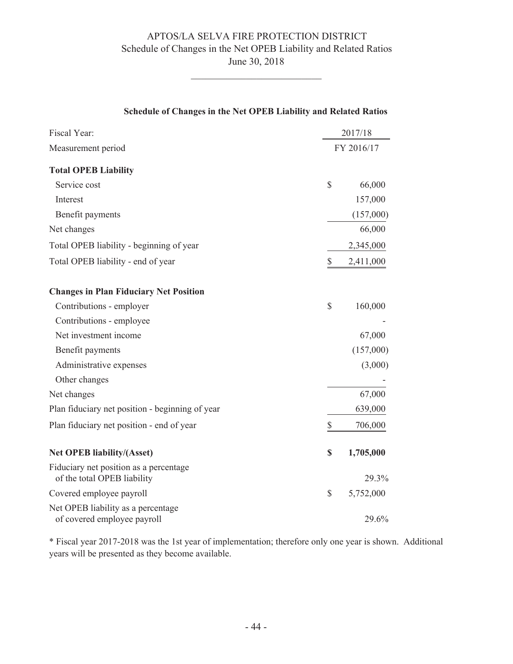#### APTOS/LA SELVA FIRE PROTECTION DISTRICT Schedule of Changes in the Net OPEB Liability and Related Ratios June 30, 2018

| Fiscal Year:                                                          |               | 2017/18    |
|-----------------------------------------------------------------------|---------------|------------|
| Measurement period                                                    |               | FY 2016/17 |
| <b>Total OPEB Liability</b>                                           |               |            |
| Service cost                                                          | $\mathcal{S}$ | 66,000     |
| Interest                                                              |               | 157,000    |
| Benefit payments                                                      |               | (157,000)  |
| Net changes                                                           |               | 66,000     |
| Total OPEB liability - beginning of year                              |               | 2,345,000  |
| Total OPEB liability - end of year                                    | \$            | 2,411,000  |
| <b>Changes in Plan Fiduciary Net Position</b>                         |               |            |
| Contributions - employer                                              | $\mathbb{S}$  | 160,000    |
| Contributions - employee                                              |               |            |
| Net investment income                                                 |               | 67,000     |
| Benefit payments                                                      |               | (157,000)  |
| Administrative expenses                                               |               | (3,000)    |
| Other changes                                                         |               |            |
| Net changes                                                           |               | 67,000     |
| Plan fiduciary net position - beginning of year                       |               | 639,000    |
| Plan fiduciary net position - end of year                             | $\mathbb{S}$  | 706,000    |
| <b>Net OPEB liability/(Asset)</b>                                     | \$            | 1,705,000  |
| Fiduciary net position as a percentage<br>of the total OPEB liability |               | 29.3%      |
| Covered employee payroll                                              | \$            | 5,752,000  |
| Net OPEB liability as a percentage<br>of covered employee payroll     |               | 29.6%      |

#### **6FK Schedule of Changes in the Net OPEB Liability and Related Ratios**

\* Fiscal year 2017-2018 was the 1st year of implementation; therefore only one year is shown. Additional years will be presented as they become available.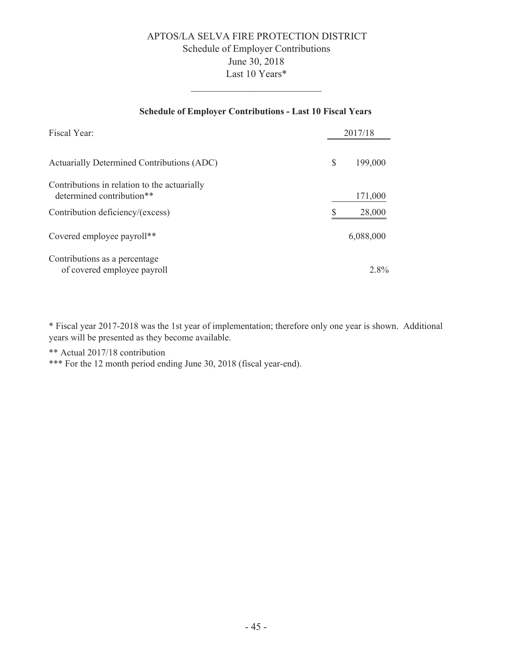# APTOS/LA SELVA FIRE PROTECTION DISTRICT Schedule of Employer Contributions June 30, 2018 Last 10 Years\*

#### **Schedule of Employer Contributions - Last 10 Fiscal Years**

| Fiscal Year:                                                              |   | 2017/18   |
|---------------------------------------------------------------------------|---|-----------|
| Actuarially Determined Contributions (ADC)                                | S | 199,000   |
| Contributions in relation to the actuarially<br>determined contribution** |   | 171,000   |
| Contribution deficiency/(excess)                                          |   | 28,000    |
| Covered employee payroll**                                                |   | 6,088,000 |
| Contributions as a percentage<br>of covered employee payroll              |   | 2.8%      |

\* Fiscal year 2017-2018 was the 1st year of implementation; therefore only one year is shown. Additional years will be presented as they become available.

\*\* Actual 2017/18 contribution

\*\*\* For the 12 month period ending June 30, 2018 (fiscal year-end).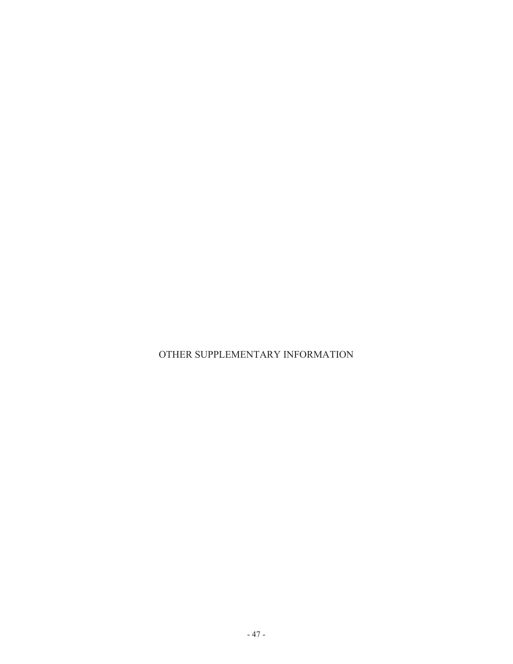OTHER SUPPLEMENTARY INFORMATION